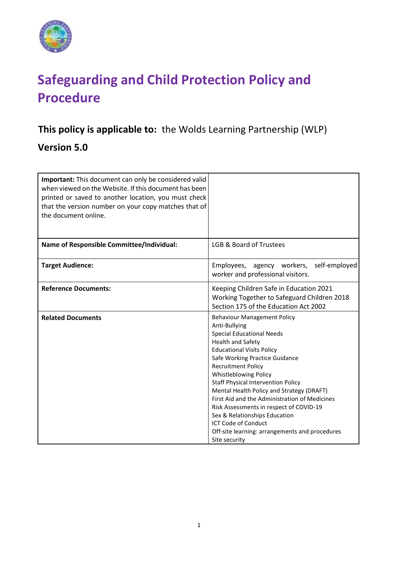

# **Safeguarding and Child Protection Policy and Procedure**

## **This policy is applicable to:** the Wolds Learning Partnership (WLP)

## **Version 5.0**

| Important: This document can only be considered valid<br>when viewed on the Website. If this document has been<br>printed or saved to another location, you must check<br>that the version number on your copy matches that of<br>the document online. |                                                                                                                                                                                                                                                                                                                                                                                                                                                                                                                                                                         |
|--------------------------------------------------------------------------------------------------------------------------------------------------------------------------------------------------------------------------------------------------------|-------------------------------------------------------------------------------------------------------------------------------------------------------------------------------------------------------------------------------------------------------------------------------------------------------------------------------------------------------------------------------------------------------------------------------------------------------------------------------------------------------------------------------------------------------------------------|
| Name of Responsible Committee/Individual:                                                                                                                                                                                                              | LGB & Board of Trustees                                                                                                                                                                                                                                                                                                                                                                                                                                                                                                                                                 |
| <b>Target Audience:</b>                                                                                                                                                                                                                                | Employees, agency workers, self-employed<br>worker and professional visitors.                                                                                                                                                                                                                                                                                                                                                                                                                                                                                           |
| <b>Reference Documents:</b>                                                                                                                                                                                                                            | Keeping Children Safe in Education 2021<br>Working Together to Safeguard Children 2018<br>Section 175 of the Education Act 2002                                                                                                                                                                                                                                                                                                                                                                                                                                         |
| <b>Related Documents</b>                                                                                                                                                                                                                               | <b>Behaviour Management Policy</b><br>Anti-Bullying<br><b>Special Educational Needs</b><br><b>Health and Safety</b><br><b>Educational Visits Policy</b><br>Safe Working Practice Guidance<br><b>Recruitment Policy</b><br>Whistleblowing Policy<br><b>Staff Physical Intervention Policy</b><br>Mental Health Policy and Strategy (DRAFT)<br>First Aid and the Administration of Medicines<br>Risk Assessments in respect of COVID-19<br>Sex & Relationships Education<br><b>ICT Code of Conduct</b><br>Off-site learning: arrangements and procedures<br>Site security |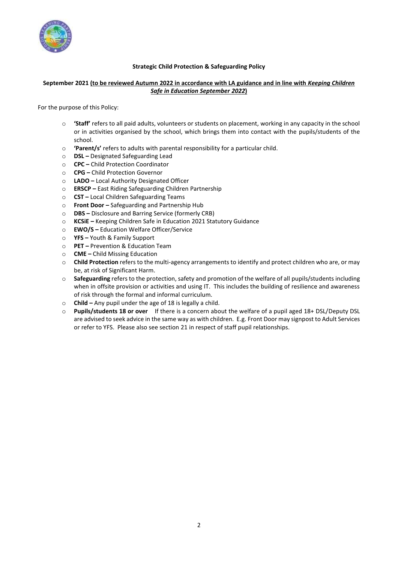

### **Strategic Child Protection & Safeguarding Policy**

### **September 2021 (to be reviewed Autumn 2022 in accordance with LA guidance and in line with** *Keeping Children Safe in Education September 2022***)**

For the purpose of this Policy:

- o **'Staff'** refers to all paid adults, volunteers or students on placement, working in any capacity in the school or in activities organised by the school, which brings them into contact with the pupils/students of the school.
- o **'Parent/s'** refers to adults with parental responsibility for a particular child.
- o **DSL –** Designated Safeguarding Lead
- o **CPC –** Child Protection Coordinator
- o **CPG –** Child Protection Governor
- o **LADO –** Local Authority Designated Officer
- o **ERSCP –** East Riding Safeguarding Children Partnership
- o **CST –** Local Children Safeguarding Teams
- o **Front Door –** Safeguarding and Partnership Hub
- o **DBS –** Disclosure and Barring Service (formerly CRB)
- o **KCSiE –** Keeping Children Safe in Education 2021 Statutory Guidance
- o **EWO/S –** Education Welfare Officer/Service
- o **YFS –** Youth & Family Support
- o **PET –** Prevention & Education Team
- o **CME –** Child Missing Education
- o **Child Protection** refers to the multi-agency arrangements to identify and protect children who are, or may be, at risk of Significant Harm.
- o **Safeguarding** refers to the protection, safety and promotion of the welfare of all pupils/students including when in offsite provision or activities and using IT. This includes the building of resilience and awareness of risk through the formal and informal curriculum.
- o **Child –** Any pupil under the age of 18 is legally a child.
- o **Pupils/students 18 or over** If there is a concern about the welfare of a pupil aged 18+ DSL/Deputy DSL are advised to seek advice in the same way as with children. E.g. Front Door may signpost to Adult Services or refer to YFS. Please also see section 21 in respect of staff pupil relationships.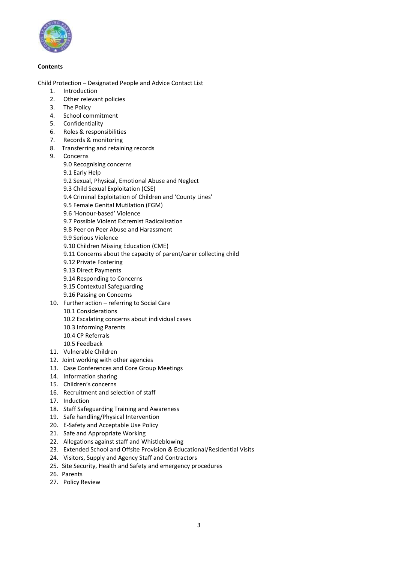

### **Contents**

Child Protection – Designated People and Advice Contact List

- 1. Introduction
- 2. Other relevant policies
- 3. The Policy
- 4. School commitment
- 5. Confidentiality
- 6. Roles & responsibilities
- 7. Records & monitoring
- 8. Transferring and retaining records
- 9. Concerns
	- 9.0 Recognising concerns
	- 9.1 Early Help
	- 9.2 Sexual, Physical, Emotional Abuse and Neglect
	- 9.3 Child Sexual Exploitation (CSE)
	- 9.4 Criminal Exploitation of Children and 'County Lines'
	- 9.5 Female Genital Mutilation (FGM)
	- 9.6 'Honour-based' Violence
	- 9.7 Possible Violent Extremist Radicalisation
	- 9.8 Peer on Peer Abuse and Harassment
	- 9.9 Serious Violence
	- 9.10 Children Missing Education (CME)
	- 9.11 Concerns about the capacity of parent/carer collecting child
	- 9.12 Private Fostering
	- 9.13 Direct Payments
	- 9.14 Responding to Concerns
	- 9.15 Contextual Safeguarding
	- 9.16 Passing on Concerns
- 10. Further action referring to Social Care
	- 10.1 Considerations
		- 10.2 Escalating concerns about individual cases
		- 10.3 Informing Parents
		- 10.4 CP Referrals
		- 10.5 Feedback
- 11. Vulnerable Children
- 12. Joint working with other agencies
- 13. Case Conferences and Core Group Meetings
- 14. Information sharing
- 15. Children's concerns
- 16. Recruitment and selection of staff
- 17. Induction
- 18. Staff Safeguarding Training and Awareness
- 19. Safe handling/Physical Intervention
- 20. E-Safety and Acceptable Use Policy
- 21. Safe and Appropriate Working
- 22. Allegations against staff and Whistleblowing
- 23. Extended School and Offsite Provision & Educational/Residential Visits
- 24. Visitors, Supply and Agency Staff and Contractors
- 25. Site Security, Health and Safety and emergency procedures
- 26. Parents
- 27. Policy Review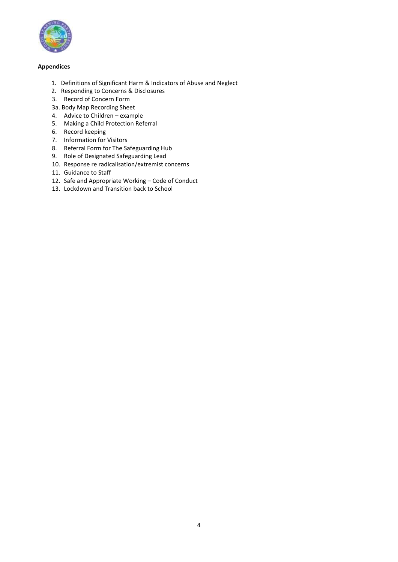

### **Appendices**

- 1. Definitions of Significant Harm & Indicators of Abuse and Neglect
- 2. Responding to Concerns & Disclosures
- 3. Record of Concern Form
- 3a. Body Map Recording Sheet
- 4. Advice to Children example
- 5. Making a Child Protection Referral
- 6. Record keeping
- 7. Information for Visitors
- 8. Referral Form for The Safeguarding Hub
- 9. Role of Designated Safeguarding Lead
- 10. Response re radicalisation/extremist concerns
- 11. Guidance to Staff
- 12. Safe and Appropriate Working Code of Conduct
- 13. Lockdown and Transition back to School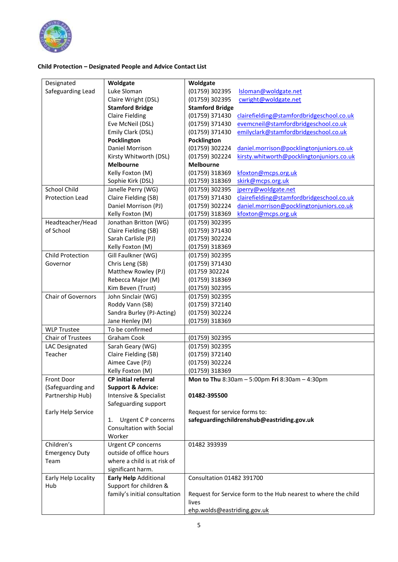

### **Child Protection – Designated People and Advice Contact List**

| Designated              | Woldgate                      | Woldgate                                                       |
|-------------------------|-------------------------------|----------------------------------------------------------------|
| Safeguarding Lead       | Luke Sloman                   | (01759) 302395<br>Isloman@woldgate.net                         |
|                         | Claire Wright (DSL)           | (01759) 302395<br>cwright@woldgate.net                         |
|                         | <b>Stamford Bridge</b>        | <b>Stamford Bridge</b>                                         |
|                         | <b>Claire Fielding</b>        | (01759) 371430<br>clairefielding@stamfordbridgeschool.co.uk    |
|                         | Eve McNeil (DSL)              | (01759) 371430<br>evemcneil@stamfordbridgeschool.co.uk         |
|                         | Emily Clark (DSL)             | (01759) 371430<br>emilyclark@stamfordbridgeschool.co.uk        |
|                         | Pocklington                   | Pocklington                                                    |
|                         | Daniel Morrison               | (01759) 302224<br>daniel.morrison@pocklingtonjuniors.co.uk     |
|                         | Kirsty Whitworth (DSL)        | kirsty.whitworth@pocklingtonjuniors.co.uk<br>(01759) 302224    |
|                         | <b>Melbourne</b>              | <b>Melbourne</b>                                               |
|                         | Kelly Foxton (M)              | (01759) 318369<br>kfoxton@mcps.org.uk                          |
|                         | Sophie Kirk (DSL)             | skirk@mcps.org.uk<br>(01759) 318369                            |
| <b>School Child</b>     | Janelle Perry (WG)            | (01759) 302395<br>jperry@woldgate.net                          |
| <b>Protection Lead</b>  | Claire Fielding (SB)          | (01759) 371430<br>clairefielding@stamfordbridgeschool.co.uk    |
|                         | Daniel Morrison (PJ)          | daniel.morrison@pocklingtonjuniors.co.uk<br>(01759) 302224     |
|                         | Kelly Foxton (M)              | (01759) 318369<br>kfoxton@mcps.org.uk                          |
| Headteacher/Head        | Jonathan Britton (WG)         | (01759) 302395                                                 |
| of School               | Claire Fielding (SB)          | (01759) 371430                                                 |
|                         | Sarah Carlisle (PJ)           | (01759) 302224                                                 |
|                         | Kelly Foxton (M)              | (01759) 318369                                                 |
| <b>Child Protection</b> | Gill Faulkner (WG)            | (01759) 302395                                                 |
| Governor                | Chris Leng (SB)               | (01759) 371430                                                 |
|                         | Matthew Rowley (PJ)           | (01759 302224                                                  |
|                         | Rebecca Major (M)             | (01759) 318369                                                 |
|                         | Kim Beven (Trust)             | (01759) 302395                                                 |
| Chair of Governors      | John Sinclair (WG)            | (01759) 302395                                                 |
|                         | Roddy Vann (SB)               | (01759) 372140                                                 |
|                         | Sandra Burley (PJ-Acting)     | (01759) 302224                                                 |
|                         | Jane Henley (M)               | (01759) 318369                                                 |
| <b>WLP Trustee</b>      | To be confirmed               |                                                                |
| Chair of Trustees       | Graham Cook                   | (01759) 302395                                                 |
| <b>LAC Designated</b>   | Sarah Geary (WG)              | (01759) 302395                                                 |
| Teacher                 | Claire Fielding (SB)          | (01759) 372140                                                 |
|                         | Aimee Cave (PJ)               | (01759) 302224                                                 |
|                         | Kelly Foxton (M)              | (01759) 318369                                                 |
| Front Door              | <b>CP</b> initial referral    | Mon to Thu 8:30am - 5:00pm Fri 8:30am - 4:30pm                 |
| (Safeguarding and       | <b>Support &amp; Advice:</b>  |                                                                |
| Partnership Hub)        | Intensive & Specialist        | 01482-395500                                                   |
|                         | Safeguarding support          |                                                                |
| Early Help Service      |                               | Request for service forms to:                                  |
|                         | Urgent C P concerns<br>1.     | safeguardingchildrenshub@eastriding.gov.uk                     |
|                         | Consultation with Social      |                                                                |
|                         | Worker                        |                                                                |
| Children's              | Urgent CP concerns            | 01482 393939                                                   |
| <b>Emergency Duty</b>   | outside of office hours       |                                                                |
| Team                    | where a child is at risk of   |                                                                |
|                         | significant harm.             |                                                                |
| Early Help Locality     | <b>Early Help Additional</b>  | <b>Consultation 01482 391700</b>                               |
| Hub                     | Support for children &        |                                                                |
|                         | family's initial consultation | Request for Service form to the Hub nearest to where the child |
|                         |                               | lives                                                          |
|                         |                               | ehp.wolds@eastriding.gov.uk                                    |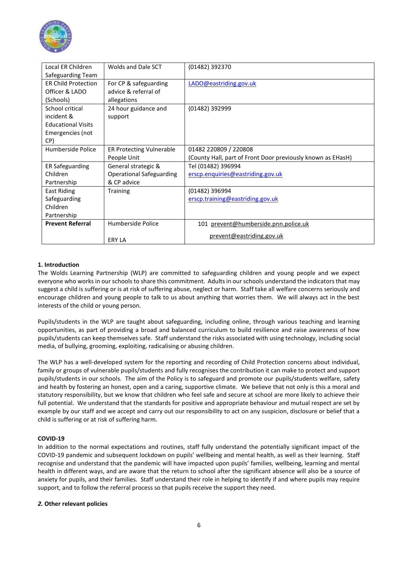

| Local ER Children          | Wolds and Dale SCT              | (01482) 392370                                              |
|----------------------------|---------------------------------|-------------------------------------------------------------|
| Safeguarding Team          |                                 |                                                             |
| <b>ER Child Protection</b> | For CP & safeguarding           | LADO@eastriding.gov.uk                                      |
| Officer & LADO             | advice & referral of            |                                                             |
| (Schools)                  | allegations                     |                                                             |
| School critical            | 24 hour guidance and            | (01482) 392999                                              |
| incident &                 | support                         |                                                             |
| <b>Educational Visits</b>  |                                 |                                                             |
| Emergencies (not           |                                 |                                                             |
| CP)                        |                                 |                                                             |
| Humberside Police          | <b>ER Protecting Vulnerable</b> | 01482 220809 / 220808                                       |
|                            | People Unit                     | (County Hall, part of Front Door previously known as EHasH) |
| <b>ER Safeguarding</b>     | General strategic &             | Tel (01482) 396994                                          |
| Children                   | <b>Operational Safeguarding</b> | erscp.enguiries@eastriding.gov.uk                           |
| Partnership                | & CP advice                     |                                                             |
| East Riding                | <b>Training</b>                 | (01482) 396994                                              |
| Safeguarding               |                                 | erscp.training@eastriding.gov.uk                            |
| Children                   |                                 |                                                             |
| Partnership                |                                 |                                                             |
| <b>Prevent Referral</b>    | Humberside Police               | 101 prevent@humberside.pnn.police.uk                        |
|                            | ERY LA                          | prevent@eastriding.gov.uk                                   |

### **1. Introduction**

The Wolds Learning Partnership (WLP) are committed to safeguarding children and young people and we expect everyone who works in our schools to share this commitment. Adults in our schools understand the indicators that may suggest a child is suffering or is at risk of suffering abuse, neglect or harm. Staff take all welfare concerns seriously and encourage children and young people to talk to us about anything that worries them. We will always act in the best interests of the child or young person.

Pupils/students in the WLP are taught about safeguarding, including online, through various teaching and learning opportunities, as part of providing a broad and balanced curriculum to build resilience and raise awareness of how pupils/students can keep themselves safe. Staff understand the risks associated with using technology, including social media, of bullying, grooming, exploiting, radicalising or abusing children.

The WLP has a well-developed system for the reporting and recording of Child Protection concerns about individual, family or groups of vulnerable pupils/students and fully recognises the contribution it can make to protect and support pupils/students in our schools. The aim of the Policy is to safeguard and promote our pupils/students welfare, safety and health by fostering an honest, open and a caring, supportive climate. We believe that not only is this a moral and statutory responsibility, but we know that children who feel safe and secure at school are more likely to achieve their full potential. We understand that the standards for positive and appropriate behaviour and mutual respect are set by example by our staff and we accept and carry out our responsibility to act on any suspicion, disclosure or belief that a child is suffering or at risk of suffering harm.

### **COVID-19**

In addition to the normal expectations and routines, staff fully understand the potentially significant impact of the COVID-19 pandemic and subsequent lockdown on pupils' wellbeing and mental health, as well as their learning. Staff recognise and understand that the pandemic will have impacted upon pupils' families, wellbeing, learning and mental health in different ways, and are aware that the return to school after the significant absence will also be a source of anxiety for pupils, and their families. Staff understand their role in helping to identify if and where pupils may require support, and to follow the referral process so that pupils receive the support they need.

### *2.* **Other relevant policies**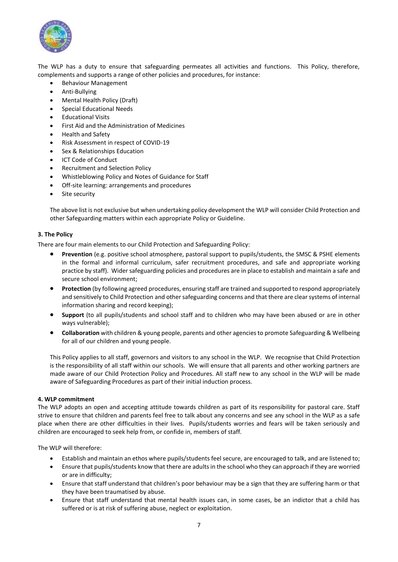

The WLP has a duty to ensure that safeguarding permeates all activities and functions. This Policy, therefore, complements and supports a range of other policies and procedures, for instance:

- Behaviour Management
- Anti-Bullying
- Mental Health Policy (Draft)
- Special Educational Needs
- Educational Visits
- First Aid and the Administration of Medicines
- Health and Safety
- Risk Assessment in respect of COVID-19
- Sex & Relationships Education
- ICT Code of Conduct
- Recruitment and Selection Policy
- Whistleblowing Policy and Notes of Guidance for Staff
- Off-site learning: arrangements and procedures
- Site security

The above list is not exclusive but when undertaking policy development the WLP will consider Child Protection and other Safeguarding matters within each appropriate Policy or Guideline.

### **3. The Policy**

There are four main elements to our Child Protection and Safeguarding Policy:

- **Prevention** (e.g. positive school atmosphere, pastoral support to pupils/students, the SMSC & PSHE elements in the formal and informal curriculum, safer recruitment procedures, and safe and appropriate working practice by staff). Wider safeguarding policies and procedures are in place to establish and maintain a safe and secure school environment;
- **Protection** (by following agreed procedures, ensuring staff are trained and supported to respond appropriately and sensitively to Child Protection and other safeguarding concerns and that there are clear systems of internal information sharing and record keeping);
- **Support** (to all pupils/students and school staff and to children who may have been abused or are in other ways vulnerable);
- **Collaboration** with children & young people, parents and other agencies to promote Safeguarding & Wellbeing for all of our children and young people.

This Policy applies to all staff, governors and visitors to any school in the WLP. We recognise that Child Protection is the responsibility of all staff within our schools. We will ensure that all parents and other working partners are made aware of our Child Protection Policy and Procedures. All staff new to any school in the WLP will be made aware of Safeguarding Procedures as part of their initial induction process.

### **4. WLP commitment**

The WLP adopts an open and accepting attitude towards children as part of its responsibility for pastoral care. Staff strive to ensure that children and parents feel free to talk about any concerns and see any school in the WLP as a safe place when there are other difficulties in their lives. Pupils/students worries and fears will be taken seriously and children are encouraged to seek help from, or confide in, members of staff.

The WLP will therefore:

- Establish and maintain an ethos where pupils/students feel secure, are encouraged to talk, and are listened to;
- Ensure that pupils/students know that there are adults in the school who they can approach if they are worried or are in difficulty;
- Ensure that staff understand that children's poor behaviour may be a sign that they are suffering harm or that they have been traumatised by abuse.
- Ensure that staff understand that mental health issues can, in some cases, be an indictor that a child has suffered or is at risk of suffering abuse, neglect or exploitation.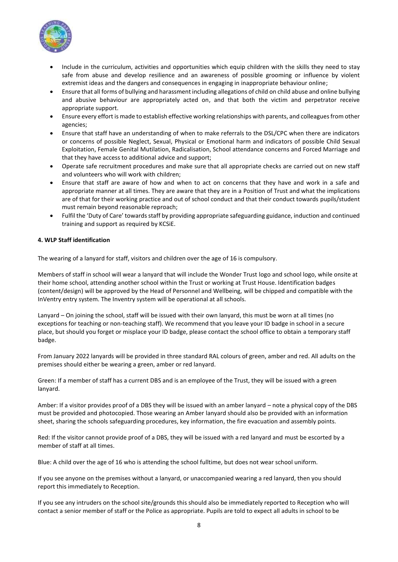

- Include in the curriculum, activities and opportunities which equip children with the skills they need to stay safe from abuse and develop resilience and an awareness of possible grooming or influence by violent extremist ideas and the dangers and consequences in engaging in inappropriate behaviour online;
- Ensure that all forms of bullying and harassment including allegations of child on child abuse and online bullying and abusive behaviour are appropriately acted on, and that both the victim and perpetrator receive appropriate support.
- Ensure every effort is made to establish effective working relationships with parents, and colleagues from other agencies;
- Ensure that staff have an understanding of when to make referrals to the DSL/CPC when there are indicators or concerns of possible Neglect, Sexual, Physical or Emotional harm and indicators of possible Child Sexual Exploitation, Female Genital Mutilation, Radicalisation, School attendance concerns and Forced Marriage and that they have access to additional advice and support;
- Operate safe recruitment procedures and make sure that all appropriate checks are carried out on new staff and volunteers who will work with children;
- Ensure that staff are aware of how and when to act on concerns that they have and work in a safe and appropriate manner at all times. They are aware that they are in a Position of Trust and what the implications are of that for their working practice and out of school conduct and that their conduct towards pupils/student must remain beyond reasonable reproach;
- Fulfil the 'Duty of Care' towards staff by providing appropriate safeguarding guidance, induction and continued training and support as required by KCSiE.

### **4. WLP Staff identification**

The wearing of a lanyard for staff, visitors and children over the age of 16 is compulsory.

Members of staff in school will wear a lanyard that will include the Wonder Trust logo and school logo, while onsite at their home school, attending another school within the Trust or working at Trust House. Identification badges (content/design) will be approved by the Head of Personnel and Wellbeing, will be chipped and compatible with the InVentry entry system. The Inventry system will be operational at all schools.

Lanyard – On joining the school, staff will be issued with their own lanyard, this must be worn at all times (no exceptions for teaching or non-teaching staff). We recommend that you leave your ID badge in school in a secure place, but should you forget or misplace your ID badge, please contact the school office to obtain a temporary staff badge.

From January 2022 lanyards will be provided in three standard RAL colours of green, amber and red. All adults on the premises should either be wearing a green, amber or red lanyard.

Green: If a member of staff has a current DBS and is an employee of the Trust, they will be issued with a green lanyard.

Amber: If a visitor provides proof of a DBS they will be issued with an amber lanyard – note a physical copy of the DBS must be provided and photocopied. Those wearing an Amber lanyard should also be provided with an information sheet, sharing the schools safeguarding procedures, key information, the fire evacuation and assembly points.

Red: If the visitor cannot provide proof of a DBS, they will be issued with a red lanyard and must be escorted by a member of staff at all times.

Blue: A child over the age of 16 who is attending the school fulltime, but does not wear school uniform.

If you see anyone on the premises without a lanyard, or unaccompanied wearing a red lanyard, then you should report this immediately to Reception.

If you see any intruders on the school site/grounds this should also be immediately reported to Reception who will contact a senior member of staff or the Police as appropriate. Pupils are told to expect all adults in school to be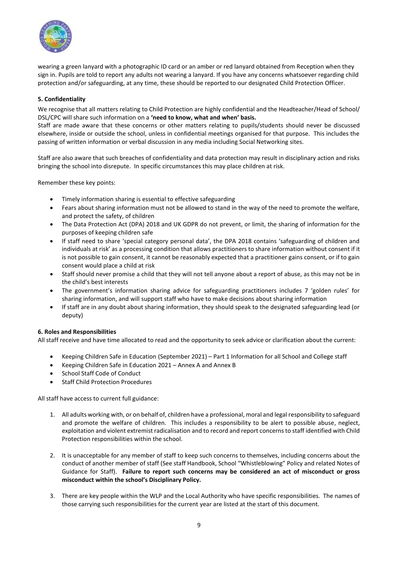

wearing a green lanyard with a photographic ID card or an amber or red lanyard obtained from Reception when they sign in. Pupils are told to report any adults not wearing a lanyard. If you have any concerns whatsoever regarding child protection and/or safeguarding, at any time, these should be reported to our designated Child Protection Officer.

### **5. Confidentiality**

We recognise that all matters relating to Child Protection are highly confidential and the Headteacher/Head of School/ DSL/CPC will share such information on a **'need to know, what and when' basis.**

Staff are made aware that these concerns or other matters relating to pupils/students should never be discussed elsewhere, inside or outside the school, unless in confidential meetings organised for that purpose. This includes the passing of written information or verbal discussion in any media including Social Networking sites.

Staff are also aware that such breaches of confidentiality and data protection may result in disciplinary action and risks bringing the school into disrepute. In specific circumstances this may place children at risk.

Remember these key points:

- Timely information sharing is essential to effective safeguarding
- Fears about sharing information must not be allowed to stand in the way of the need to promote the welfare, and protect the safety, of children
- The Data Protection Act (DPA) 2018 and UK GDPR do not prevent, or limit, the sharing of information for the purposes of keeping children safe
- If staff need to share 'special category personal data', the DPA 2018 contains 'safeguarding of children and individuals at risk' as a processing condition that allows practitioners to share information without consent if it is not possible to gain consent, it cannot be reasonably expected that a practitioner gains consent, or if to gain consent would place a child at risk
- Staff should never promise a child that they will not tell anyone about a report of abuse, as this may not be in the child's best interests
- The government's information sharing advice for safeguarding practitioners includes 7 'golden rules' for sharing information, and will support staff who have to make decisions about sharing information
- If staff are in any doubt about sharing information, they should speak to the designated safeguarding lead (or deputy)

### **6. Roles and Responsibilities**

All staff receive and have time allocated to read and the opportunity to seek advice or clarification about the current:

- Keeping Children Safe in Education (September 2021) Part 1 Information for all School and College staff
- Keeping Children Safe in Education 2021 Annex A and Annex B
- School Staff Code of Conduct
- Staff Child Protection Procedures

All staff have access to current full guidance:

- 1. All adults working with, or on behalf of, children have a professional, moral and legal responsibility to safeguard and promote the welfare of children. This includes a responsibility to be alert to possible abuse, neglect, exploitation and violent extremist radicalisation and to record and report concerns to staff identified with Child Protection responsibilities within the school.
- 2. It is unacceptable for any member of staff to keep such concerns to themselves, including concerns about the conduct of another member of staff (See staff Handbook, School "Whistleblowing" Policy and related Notes of Guidance for Staff). **Failure to report such concerns may be considered an act of misconduct or gross misconduct within the school's Disciplinary Policy.**
- 3. There are key people within the WLP and the Local Authority who have specific responsibilities. The names of those carrying such responsibilities for the current year are listed at the start of this document.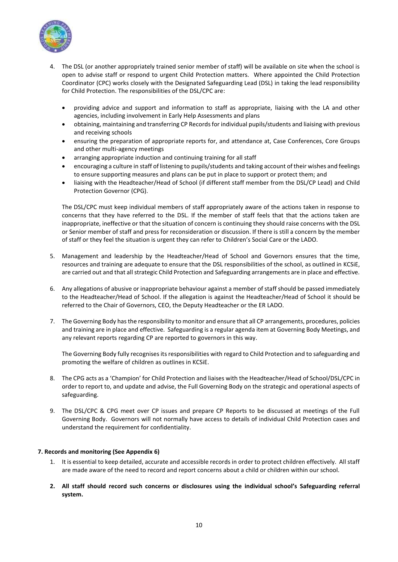

- 4. The DSL (or another appropriately trained senior member of staff) will be available on site when the school is open to advise staff or respond to urgent Child Protection matters. Where appointed the Child Protection Coordinator (CPC) works closely with the Designated Safeguarding Lead (DSL) in taking the lead responsibility for Child Protection. The responsibilities of the DSL/CPC are:
	- providing advice and support and information to staff as appropriate, liaising with the LA and other agencies, including involvement in Early Help Assessments and plans
	- obtaining, maintaining and transferring CP Records for individual pupils/students and liaising with previous and receiving schools
	- ensuring the preparation of appropriate reports for, and attendance at, Case Conferences, Core Groups and other multi-agency meetings
	- arranging appropriate induction and continuing training for all staff
	- encouraging a culture in staff of listening to pupils/students and taking account of their wishes and feelings to ensure supporting measures and plans can be put in place to support or protect them; and
	- liaising with the Headteacher/Head of School (if different staff member from the DSL/CP Lead) and Child Protection Governor (CPG).

The DSL/CPC must keep individual members of staff appropriately aware of the actions taken in response to concerns that they have referred to the DSL. If the member of staff feels that that the actions taken are inappropriate, ineffective or that the situation of concern is continuing they should raise concerns with the DSL or Senior member of staff and press for reconsideration or discussion. If there is still a concern by the member of staff or they feel the situation is urgent they can refer to Children's Social Care or the LADO.

- 5. Management and leadership by the Headteacher/Head of School and Governors ensures that the time, resources and training are adequate to ensure that the DSL responsibilities of the school, as outlined in KCSiE, are carried out and that all strategic Child Protection and Safeguarding arrangements are in place and effective.
- 6. Any allegations of abusive or inappropriate behaviour against a member of staff should be passed immediately to the Headteacher/Head of School. If the allegation is against the Headteacher/Head of School it should be referred to the Chair of Governors, CEO, the Deputy Headteacher or the ER LADO.
- 7. The Governing Body has the responsibility to monitor and ensure that all CP arrangements, procedures, policies and training are in place and effective. Safeguarding is a regular agenda item at Governing Body Meetings, and any relevant reports regarding CP are reported to governors in this way.

The Governing Body fully recognises its responsibilities with regard to Child Protection and to safeguarding and promoting the welfare of children as outlines in KCSiE.

- 8. The CPG acts as a 'Champion' for Child Protection and liaises with the Headteacher/Head of School/DSL/CPC in order to report to, and update and advise, the Full Governing Body on the strategic and operational aspects of safeguarding.
- 9. The DSL/CPC & CPG meet over CP issues and prepare CP Reports to be discussed at meetings of the Full Governing Body. Governors will not normally have access to details of individual Child Protection cases and understand the requirement for confidentiality.

### **7. Records and monitoring (See Appendix 6)**

- 1. It is essential to keep detailed, accurate and accessible records in order to protect children effectively. All staff are made aware of the need to record and report concerns about a child or children within our school.
- **2. All staff should record such concerns or disclosures using the individual school's Safeguarding referral system.**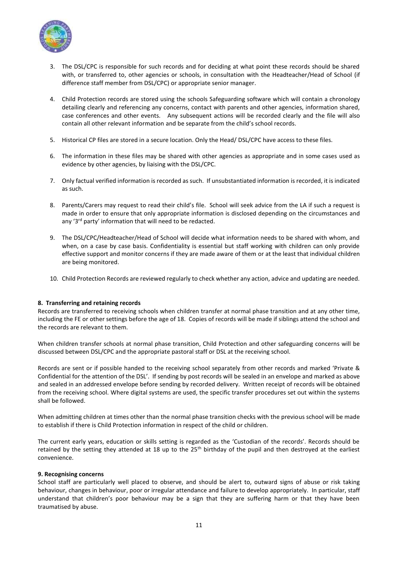

- 3. The DSL/CPC is responsible for such records and for deciding at what point these records should be shared with, or transferred to, other agencies or schools, in consultation with the Headteacher/Head of School (if difference staff member from DSL/CPC) or appropriate senior manager.
- 4. Child Protection records are stored using the schools Safeguarding software which will contain a chronology detailing clearly and referencing any concerns, contact with parents and other agencies, information shared, case conferences and other events. Any subsequent actions will be recorded clearly and the file will also contain all other relevant information and be separate from the child's school records.
- 5. Historical CP files are stored in a secure location. Only the Head/ DSL/CPC have access to these files.
- 6. The information in these files may be shared with other agencies as appropriate and in some cases used as evidence by other agencies, by liaising with the DSL/CPC.
- 7. Only factual verified information is recorded as such. If unsubstantiated information is recorded, it is indicated as such.
- 8. Parents/Carers may request to read their child's file. School will seek advice from the LA if such a request is made in order to ensure that only appropriate information is disclosed depending on the circumstances and any '3<sup>rd</sup> party' information that will need to be redacted.
- 9. The DSL/CPC/Headteacher/Head of School will decide what information needs to be shared with whom, and when, on a case by case basis. Confidentiality is essential but staff working with children can only provide effective support and monitor concerns if they are made aware of them or at the least that individual children are being monitored.
- 10. Child Protection Records are reviewed regularly to check whether any action, advice and updating are needed.

### **8. Transferring and retaining records**

Records are transferred to receiving schools when children transfer at normal phase transition and at any other time, including the FE or other settings before the age of 18. Copies of records will be made if siblings attend the school and the records are relevant to them.

When children transfer schools at normal phase transition, Child Protection and other safeguarding concerns will be discussed between DSL/CPC and the appropriate pastoral staff or DSL at the receiving school.

Records are sent or if possible handed to the receiving school separately from other records and marked 'Private & Confidential for the attention of the DSL'. If sending by post records will be sealed in an envelope and marked as above and sealed in an addressed envelope before sending by recorded delivery. Written receipt of records will be obtained from the receiving school. Where digital systems are used, the specific transfer procedures set out within the systems shall be followed.

When admitting children at times other than the normal phase transition checks with the previous school will be made to establish if there is Child Protection information in respect of the child or children.

The current early years, education or skills setting is regarded as the 'Custodian of the records'. Records should be retained by the setting they attended at 18 up to the 25<sup>th</sup> birthday of the pupil and then destroyed at the earliest convenience.

### **9. Recognising concerns**

School staff are particularly well placed to observe, and should be alert to, outward signs of abuse or risk taking behaviour, changes in behaviour, poor or irregular attendance and failure to develop appropriately. In particular, staff understand that children's poor behaviour may be a sign that they are suffering harm or that they have been traumatised by abuse.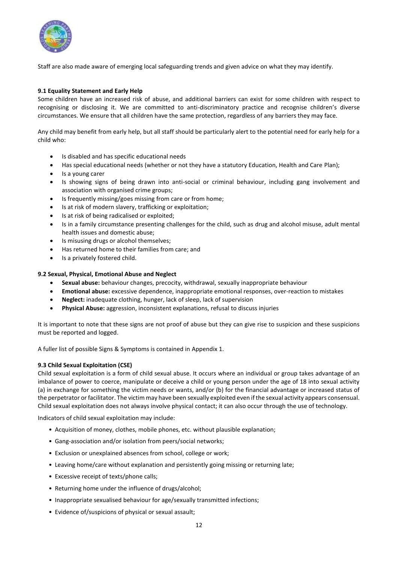

Staff are also made aware of emerging local safeguarding trends and given advice on what they may identify.

### **9.1 Equality Statement and Early Help**

Some children have an increased risk of abuse, and additional barriers can exist for some children with respect to recognising or disclosing it. We are committed to anti-discriminatory practice and recognise children's diverse circumstances. We ensure that all children have the same protection, regardless of any barriers they may face.

Any child may benefit from early help, but all staff should be particularly alert to the potential need for early help for a child who:

- Is disabled and has specific educational needs
- Has special educational needs (whether or not they have a statutory Education, Health and Care Plan);
- Is a young carer
- Is showing signs of being drawn into anti-social or criminal behaviour, including gang involvement and association with organised crime groups;
- Is frequently missing/goes missing from care or from home;
- Is at risk of modern slavery, trafficking or exploitation;
- Is at risk of being radicalised or exploited;
- Is in a family circumstance presenting challenges for the child, such as drug and alcohol misuse, adult mental health issues and domestic abuse;
- Is misusing drugs or alcohol themselves;
- Has returned home to their families from care; and
- Is a privately fostered child.

### **9.2 Sexual, Physical, Emotional Abuse and Neglect**

- **Sexual abuse:** behaviour changes, precocity, withdrawal, sexually inappropriate behaviour
- **Emotional abuse:** excessive dependence, inappropriate emotional responses, over-reaction to mistakes
- **Neglect:** inadequate clothing, hunger, lack of sleep, lack of supervision
- **Physical Abuse:** aggression, inconsistent explanations, refusal to discuss injuries

It is important to note that these signs are not proof of abuse but they can give rise to suspicion and these suspicions must be reported and logged.

A fuller list of possible Signs & Symptoms is contained in Appendix 1.

### **9.3 Child Sexual Exploitation (CSE)**

Child sexual exploitation is a form of child sexual abuse. It occurs where an individual or group takes advantage of an imbalance of power to coerce, manipulate or deceive a child or young person under the age of 18 into sexual activity (a) in exchange for something the victim needs or wants, and/or (b) for the financial advantage or increased status of the perpetrator or facilitator. The victim may have been sexually exploited even if the sexual activity appears consensual. Child sexual exploitation does not always involve physical contact; it can also occur through the use of technology.

Indicators of child sexual exploitation may include:

- Acquisition of money, clothes, mobile phones, etc. without plausible explanation;
- Gang-association and/or isolation from peers/social networks;
- Exclusion or unexplained absences from school, college or work;
- Leaving home/care without explanation and persistently going missing or returning late;
- Excessive receipt of texts/phone calls;
- Returning home under the influence of drugs/alcohol;
- Inappropriate sexualised behaviour for age/sexually transmitted infections;
- Evidence of/suspicions of physical or sexual assault;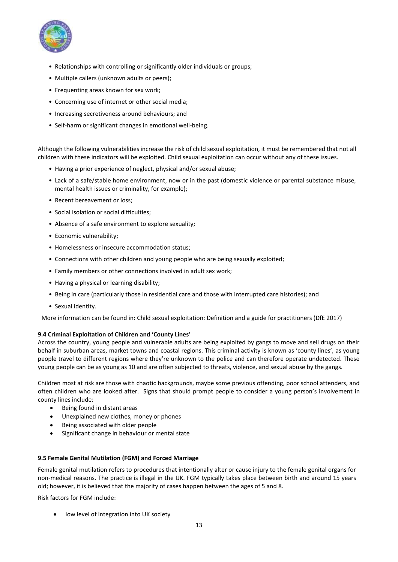

- Relationships with controlling or significantly older individuals or groups;
- Multiple callers (unknown adults or peers);
- Frequenting areas known for sex work;
- Concerning use of internet or other social media;
- Increasing secretiveness around behaviours; and
- Self-harm or significant changes in emotional well-being.

Although the following vulnerabilities increase the risk of child sexual exploitation, it must be remembered that not all children with these indicators will be exploited. Child sexual exploitation can occur without any of these issues.

- Having a prior experience of neglect, physical and/or sexual abuse;
- Lack of a safe/stable home environment, now or in the past (domestic violence or parental substance misuse, mental health issues or criminality, for example);
- Recent bereavement or loss;
- Social isolation or social difficulties;
- Absence of a safe environment to explore sexuality;
- Economic vulnerability;
- Homelessness or insecure accommodation status;
- Connections with other children and young people who are being sexually exploited;
- Family members or other connections involved in adult sex work;
- Having a physical or learning disability;
- Being in care (particularly those in residential care and those with interrupted care histories); and
- Sexual identity.

More information can be found in: Child sexual exploitation: Definition and a guide for practitioners (DfE 2017)

### **9.4 Criminal Exploitation of Children and 'County Lines'**

Across the country, young people and vulnerable adults are being exploited by gangs to move and sell drugs on their behalf in suburban areas, market towns and coastal regions. This criminal activity is known as 'county lines', as young people travel to different regions where they're unknown to the police and can therefore operate undetected. These young people can be as young as 10 and are often subjected to threats, violence, and sexual abuse by the gangs.

Children most at risk are those with chaotic backgrounds, maybe some previous offending, poor school attenders, and often children who are looked after. Signs that should prompt people to consider a young person's involvement in county lines include:

- Being found in distant areas
- Unexplained new clothes, money or phones
- Being associated with older people
- Significant change in behaviour or mental state

### **9.5 Female Genital Mutilation (FGM) and Forced Marriage**

Female genital mutilation refers to procedures that intentionally alter or cause injury to the female genital organs for non-medical reasons. The practice is illegal in the UK. FGM typically takes place between birth and around 15 years old; however, it is believed that the majority of cases happen between the ages of 5 and 8.

Risk factors for FGM include:

• low level of integration into UK society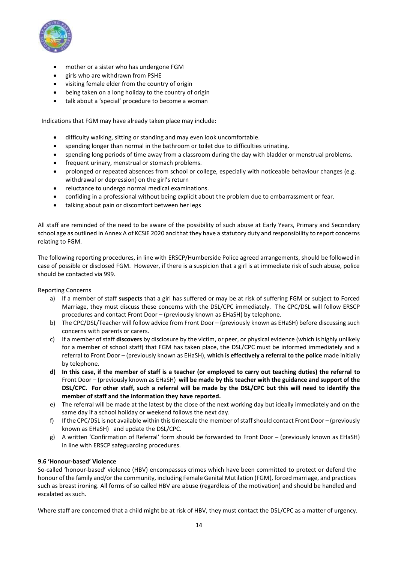

- mother or a sister who has undergone FGM
- girls who are withdrawn from PSHE
- visiting female elder from the country of origin
- being taken on a long holiday to the country of origin
- talk about a 'special' procedure to become a woman

Indications that FGM may have already taken place may include:

- difficulty walking, sitting or standing and may even look uncomfortable.
- spending longer than normal in the bathroom or toilet due to difficulties urinating.
- spending long periods of time away from a classroom during the day with bladder or menstrual problems.
- frequent urinary, menstrual or stomach problems.
- prolonged or repeated absences from school or college, especially with noticeable behaviour changes (e.g. withdrawal or depression) on the girl's return
- reluctance to undergo normal medical examinations.
- confiding in a professional without being explicit about the problem due to embarrassment or fear.
- talking about pain or discomfort between her legs

All staff are reminded of the need to be aware of the possibility of such abuse at Early Years, Primary and Secondary school age as outlined in Annex A of KCSiE 2020 and that they have a statutory duty and responsibility to report concerns relating to FGM.

The following reporting procedures, in line with ERSCP/Humberside Police agreed arrangements, should be followed in case of possible or disclosed FGM. However, if there is a suspicion that a girl is at immediate risk of such abuse, police should be contacted via 999.

Reporting Concerns

- a) If a member of staff **suspects** that a girl has suffered or may be at risk of suffering FGM or subject to Forced Marriage, they must discuss these concerns with the DSL/CPC immediately. The CPC/DSL will follow ERSCP procedures and contact Front Door – (previously known as EHaSH) by telephone.
- b) The CPC/DSL/Teacher will follow advice from Front Door (previously known as EHaSH) before discussing such concerns with parents or carers.
- c) If a member of staff **discovers** by disclosure by the victim, or peer, or physical evidence (which is highly unlikely for a member of school staff) that FGM has taken place, the DSL/CPC must be informed immediately and a referral to Front Door – (previously known as EHaSH), **which is effectively a referral to the police** made initially by telephone.
- **d) In this case, if the member of staff is a teacher (or employed to carry out teaching duties) the referral to**  Front Door – (previously known as EHaSH) **will be made by this teacher with the guidance and support of the DSL/CPC. For other staff, such a referral will be made by the DSL/CPC but this will need to identify the member of staff and the information they have reported.**
- e) The referral will be made at the latest by the close of the next working day but ideally immediately and on the same day if a school holiday or weekend follows the next day.
- f) If the CPC/DSL is not available within this timescale the member of staff should contact Front Door (previously known as EHaSH) and update the DSL/CPC.
- g) A written 'Confirmation of Referral' form should be forwarded to Front Door (previously known as EHaSH) in line with ERSCP safeguarding procedures.

### **9.6 'Honour-based' Violence**

So-called 'honour-based' violence (HBV) encompasses crimes which have been committed to protect or defend the honour of the family and/or the community, including Female Genital Mutilation (FGM), forced marriage, and practices such as breast ironing. All forms of so called HBV are abuse (regardless of the motivation) and should be handled and escalated as such.

Where staff are concerned that a child might be at risk of HBV, they must contact the DSL/CPC as a matter of urgency.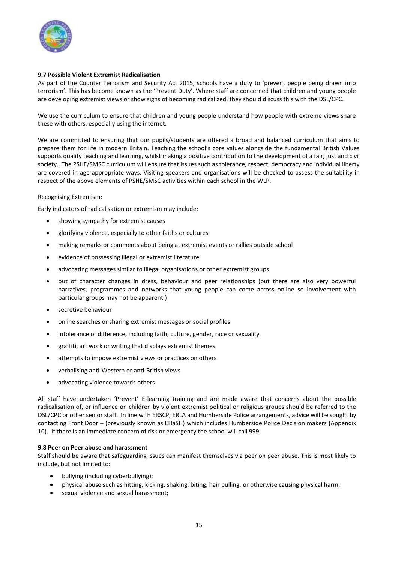

### **9.7 Possible Violent Extremist Radicalisation**

As part of the Counter Terrorism and Security Act 2015, schools have a duty to 'prevent people being drawn into terrorism'. This has become known as the 'Prevent Duty'. Where staff are concerned that children and young people are developing extremist views or show signs of becoming radicalized, they should discuss this with the DSL/CPC.

We use the curriculum to ensure that children and young people understand how people with extreme views share these with others, especially using the internet.

We are committed to ensuring that our pupils/students are offered a broad and balanced curriculum that aims to prepare them for life in modern Britain. Teaching the school's core values alongside the fundamental British Values supports quality teaching and learning, whilst making a positive contribution to the development of a fair, just and civil society. The PSHE/SMSC curriculum will ensure that issues such as tolerance, respect, democracy and individual liberty are covered in age appropriate ways. Visiting speakers and organisations will be checked to assess the suitability in respect of the above elements of PSHE/SMSC activities within each school in the WLP.

### Recognising Extremism:

Early indicators of radicalisation or extremism may include:

- showing sympathy for extremist causes
- glorifying violence, especially to other faiths or cultures
- making remarks or comments about being at extremist events or rallies outside school
- evidence of possessing illegal or extremist literature
- advocating messages similar to illegal organisations or other extremist groups
- out of character changes in dress, behaviour and peer relationships (but there are also very powerful narratives, programmes and networks that young people can come across online so involvement with particular groups may not be apparent.)
- secretive behaviour
- online searches or sharing extremist messages or social profiles
- intolerance of difference, including faith, culture, gender, race or sexuality
- graffiti, art work or writing that displays extremist themes
- attempts to impose extremist views or practices on others
- verbalising anti-Western or anti-British views
- advocating violence towards others

All staff have undertaken 'Prevent' E-learning training and are made aware that concerns about the possible radicalisation of, or influence on children by violent extremist political or religious groups should be referred to the DSL/CPC or other senior staff. In line with ERSCP, ERLA and Humberside Police arrangements, advice will be sought by contacting Front Door – (previously known as EHaSH) which includes Humberside Police Decision makers (Appendix 10). If there is an immediate concern of risk or emergency the school will call 999.

### **9.8 Peer on Peer abuse and harassment**

Staff should be aware that safeguarding issues can manifest themselves via peer on peer abuse. This is most likely to include, but not limited to:

- bullying (including cyberbullying);
- physical abuse such as hitting, kicking, shaking, biting, hair pulling, or otherwise causing physical harm;
- sexual violence and sexual harassment;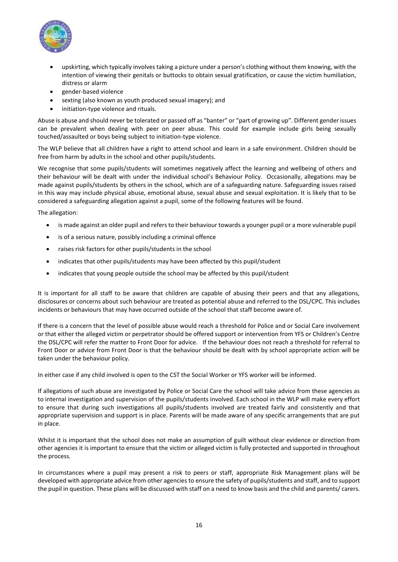

- upskirting, which typically involves taking a picture under a person's clothing without them knowing, with the intention of viewing their genitals or buttocks to obtain sexual gratification, or cause the victim humiliation, distress or alarm
- gender-based violence
- sexting (also known as youth produced sexual imagery); and
- initiation-type violence and rituals.

Abuse is abuse and should never be tolerated or passed off as "banter" or "part of growing up". Different gender issues can be prevalent when dealing with peer on peer abuse. This could for example include girls being sexually touched/assaulted or boys being subject to initiation-type violence.

The WLP believe that all children have a right to attend school and learn in a safe environment. Children should be free from harm by adults in the school and other pupils/students.

We recognise that some pupils/students will sometimes negatively affect the learning and wellbeing of others and their behaviour will be dealt with under the individual school's Behaviour Policy. Occasionally, allegations may be made against pupils/students by others in the school, which are of a safeguarding nature. Safeguarding issues raised in this way may include physical abuse, emotional abuse, sexual abuse and sexual exploitation. It is likely that to be considered a safeguarding allegation against a pupil, some of the following features will be found.

The allegation:

- is made against an older pupil and refers to their behaviour towards a younger pupil or a more vulnerable pupil
- is of a serious nature, possibly including a criminal offence
- raises risk factors for other pupils/students in the school
- indicates that other pupils/students may have been affected by this pupil/student
- indicates that young people outside the school may be affected by this pupil/student

It is important for all staff to be aware that children are capable of abusing their peers and that any allegations, disclosures or concerns about such behaviour are treated as potential abuse and referred to the DSL/CPC. This includes incidents or behaviours that may have occurred outside of the school that staff become aware of.

If there is a concern that the level of possible abuse would reach a threshold for Police and or Social Care involvement or that either the alleged victim or perpetrator should be offered support or intervention from YFS or Children's Centre the DSL/CPC will refer the matter to Front Door for advice. If the behaviour does not reach a threshold for referral to Front Door or advice from Front Door is that the behaviour should be dealt with by school appropriate action will be taken under the behaviour policy.

In either case if any child involved is open to the CST the Social Worker or YFS worker will be informed.

If allegations of such abuse are investigated by Police or Social Care the school will take advice from these agencies as to internal investigation and supervision of the pupils/students involved. Each school in the WLP will make every effort to ensure that during such investigations all pupils/students involved are treated fairly and consistently and that appropriate supervision and support is in place. Parents will be made aware of any specific arrangements that are put in place.

Whilst it is important that the school does not make an assumption of guilt without clear evidence or direction from other agencies it is important to ensure that the victim or alleged victim is fully protected and supported in throughout the process.

In circumstances where a pupil may present a risk to peers or staff, appropriate Risk Management plans will be developed with appropriate advice from other agencies to ensure the safety of pupils/students and staff, and to support the pupil in question. These plans will be discussed with staff on a need to know basis and the child and parents/ carers.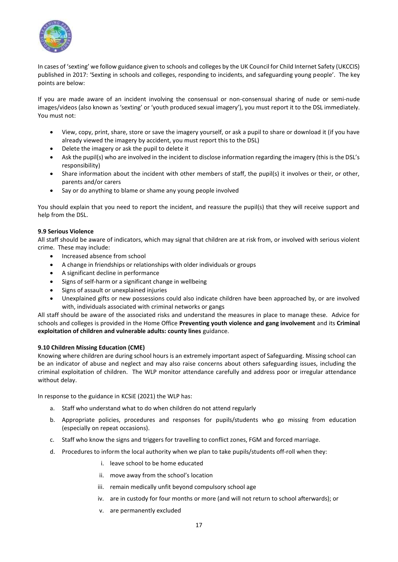

In cases of 'sexting' we follow guidance given to schools and colleges by the UK Council for Child Internet Safety (UKCCIS) published in 2017: 'Sexting in schools and colleges, responding to incidents, and safeguarding young people'. The key points are below:

If you are made aware of an incident involving the consensual or non-consensual sharing of nude or semi-nude images/videos (also known as 'sexting' or 'youth produced sexual imagery'), you must report it to the DSL immediately. You must not:

- View, copy, print, share, store or save the imagery yourself, or ask a pupil to share or download it (if you have already viewed the imagery by accident, you must report this to the DSL)
- Delete the imagery or ask the pupil to delete it
- Ask the pupil(s) who are involved in the incident to disclose information regarding the imagery (this is the DSL's responsibility)
- Share information about the incident with other members of staff, the pupil(s) it involves or their, or other, parents and/or carers
- Say or do anything to blame or shame any young people involved

You should explain that you need to report the incident, and reassure the pupil(s) that they will receive support and help from the DSL.

### **9.9 Serious Violence**

All staff should be aware of indicators, which may signal that children are at risk from, or involved with serious violent crime. These may include:

- Increased absence from school
- A change in friendships or relationships with older individuals or groups
- A significant decline in performance
- Signs of self-harm or a significant change in wellbeing
- Signs of assault or unexplained injuries
- Unexplained gifts or new possessions could also indicate children have been approached by, or are involved with, individuals associated with criminal networks or gangs

All staff should be aware of the associated risks and understand the measures in place to manage these. Advice for schools and colleges is provided in the Home Office **Preventing youth violence and gang involvement** and its **Criminal exploitation of children and vulnerable adults: county lines** guidance.

### **9.10 Children Missing Education (CME)**

Knowing where children are during school hours is an extremely important aspect of Safeguarding. Missing school can be an indicator of abuse and neglect and may also raise concerns about others safeguarding issues, including the criminal exploitation of children. The WLP monitor attendance carefully and address poor or irregular attendance without delay.

In response to the guidance in KCSiE (2021) the WLP has:

- a. Staff who understand what to do when children do not attend regularly
- b. Appropriate policies, procedures and responses for pupils/students who go missing from education (especially on repeat occasions).
- c. Staff who know the signs and triggers for travelling to conflict zones, FGM and forced marriage.
- d. Procedures to inform the local authority when we plan to take pupils/students off-roll when they:
	- i. leave school to be home educated
	- ii. move away from the school's location
	- iii. remain medically unfit beyond compulsory school age
	- iv. are in custody for four months or more (and will not return to school afterwards); or
	- v. are permanently excluded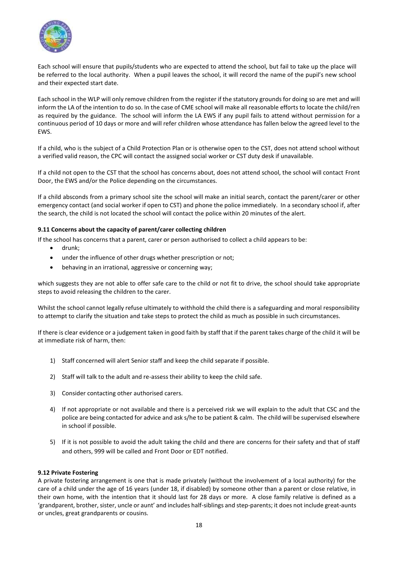

Each school will ensure that pupils/students who are expected to attend the school, but fail to take up the place will be referred to the local authority. When a pupil leaves the school, it will record the name of the pupil's new school and their expected start date.

Each school in the WLP will only remove children from the register if the statutory grounds for doing so are met and will inform the LA of the intention to do so. In the case of CME school will make all reasonable efforts to locate the child/ren as required by the guidance. The school will inform the LA EWS if any pupil fails to attend without permission for a continuous period of 10 days or more and will refer children whose attendance has fallen below the agreed level to the EWS.

If a child, who is the subject of a Child Protection Plan or is otherwise open to the CST, does not attend school without a verified valid reason, the CPC will contact the assigned social worker or CST duty desk if unavailable.

If a child not open to the CST that the school has concerns about, does not attend school, the school will contact Front Door, the EWS and/or the Police depending on the circumstances.

If a child absconds from a primary school site the school will make an initial search, contact the parent/carer or other emergency contact (and social worker if open to CST) and phone the police immediately. In a secondary school if, after the search, the child is not located the school will contact the police within 20 minutes of the alert.

### **9.11 Concerns about the capacity of parent/carer collecting children**

If the school has concerns that a parent, carer or person authorised to collect a child appears to be:

- drunk;
- under the influence of other drugs whether prescription or not;
- behaving in an irrational, aggressive or concerning way;

which suggests they are not able to offer safe care to the child or not fit to drive, the school should take appropriate steps to avoid releasing the children to the carer.

Whilst the school cannot legally refuse ultimately to withhold the child there is a safeguarding and moral responsibility to attempt to clarify the situation and take steps to protect the child as much as possible in such circumstances.

If there is clear evidence or a judgement taken in good faith by staff that if the parent takes charge of the child it will be at immediate risk of harm, then:

- 1) Staff concerned will alert Senior staff and keep the child separate if possible.
- 2) Staff will talk to the adult and re-assess their ability to keep the child safe.
- 3) Consider contacting other authorised carers.
- 4) If not appropriate or not available and there is a perceived risk we will explain to the adult that CSC and the police are being contacted for advice and ask s/he to be patient & calm. The child will be supervised elsewhere in school if possible.
- 5) If it is not possible to avoid the adult taking the child and there are concerns for their safety and that of staff and others, 999 will be called and Front Door or EDT notified.

### **9.12 Private Fostering**

A private fostering arrangement is one that is made privately (without the involvement of a local authority) for the care of a child under the age of 16 years (under 18, if disabled) by someone other than a parent or close relative, in their own home, with the intention that it should last for 28 days or more. A close family relative is defined as a 'grandparent, brother, sister, uncle or aunt' and includes half-siblings and step-parents; it does not include great-aunts or uncles, great grandparents or cousins.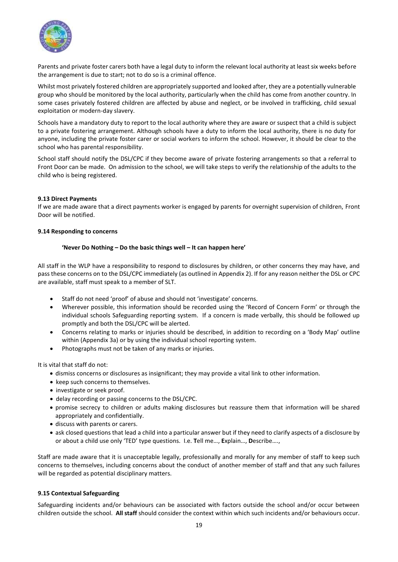

Parents and private foster carers both have a legal duty to inform the relevant local authority at least six weeks before the arrangement is due to start; not to do so is a criminal offence.

Whilst most privately fostered children are appropriately supported and looked after, they are a potentially vulnerable group who should be monitored by the local authority, particularly when the child has come from another country. In some cases privately fostered children are affected by abuse and neglect, or be involved in trafficking, child sexual exploitation or modern-day slavery.

Schools have a mandatory duty to report to the local authority where they are aware or suspect that a child is subject to a private fostering arrangement. Although schools have a duty to inform the local authority, there is no duty for anyone, including the private foster carer or social workers to inform the school. However, it should be clear to the school who has parental responsibility.

School staff should notify the DSL/CPC if they become aware of private fostering arrangements so that a referral to Front Door can be made. On admission to the school, we will take steps to verify the relationship of the adults to the child who is being registered.

### **9.13 Direct Payments**

If we are made aware that a direct payments worker is engaged by parents for overnight supervision of children, Front Door will be notified.

### **9.14 Responding to concerns**

### **'Never Do Nothing – Do the basic things well – It can happen here'**

All staff in the WLP have a responsibility to respond to disclosures by children, or other concerns they may have, and pass these concerns on to the DSL/CPC immediately (as outlined in Appendix 2). If for any reason neither the DSL or CPC are available, staff must speak to a member of SLT.

- Staff do not need 'proof' of abuse and should not 'investigate' concerns.
- Wherever possible, this information should be recorded using the 'Record of Concern Form' or through the individual schools Safeguarding reporting system. If a concern is made verbally, this should be followed up promptly and both the DSL/CPC will be alerted.
- Concerns relating to marks or injuries should be described, in addition to recording on a 'Body Map' outline within (Appendix 3a) or by using the individual school reporting system.
- Photographs must not be taken of any marks or injuries.

It is vital that staff do not:

- dismiss concerns or disclosures as insignificant; they may provide a vital link to other information.
- keep such concerns to themselves.
- investigate or seek proof.
- delay recording or passing concerns to the DSL/CPC.
- promise secrecy to children or adults making disclosures but reassure them that information will be shared appropriately and confidentially.
- discuss with parents or carers.
- ask closed questions that lead a child into a particular answer but if they need to clarify aspects of a disclosure by or about a child use only 'TED' type questions. I.e. **T**ell me…, **E**xplain…, **D**escribe….,

Staff are made aware that it is unacceptable legally, professionally and morally for any member of staff to keep such concerns to themselves, including concerns about the conduct of another member of staff and that any such failures will be regarded as potential disciplinary matters.

### **9.15 Contextual Safeguarding**

Safeguarding incidents and/or behaviours can be associated with factors outside the school and/or occur between children outside the school. **All staff** should consider the context within which such incidents and/or behaviours occur.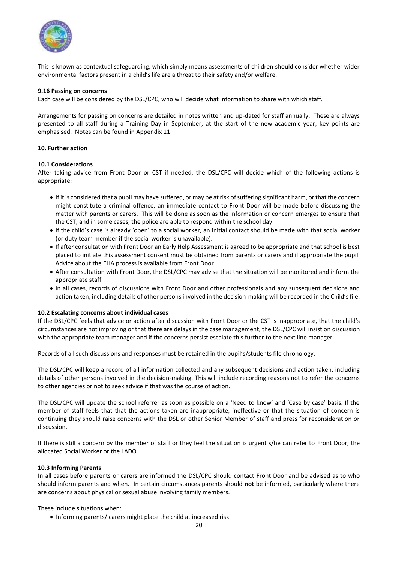

This is known as contextual safeguarding, which simply means assessments of children should consider whether wider environmental factors present in a child's life are a threat to their safety and/or welfare.

#### **9.16 Passing on concerns**

Each case will be considered by the DSL/CPC, who will decide what information to share with which staff.

Arrangements for passing on concerns are detailed in notes written and up-dated for staff annually. These are always presented to all staff during a Training Day in September, at the start of the new academic year; key points are emphasised. Notes can be found in Appendix 11.

#### **10. Further action**

#### **10.1 Considerations**

After taking advice from Front Door or CST if needed, the DSL/CPC will decide which of the following actions is appropriate:

- If it is considered that a pupil may have suffered, or may be at risk of suffering significant harm, or that the concern might constitute a criminal offence, an immediate contact to Front Door will be made before discussing the matter with parents or carers. This will be done as soon as the information or concern emerges to ensure that the CST, and in some cases, the police are able to respond within the school day.
- If the child's case is already 'open' to a social worker, an initial contact should be made with that social worker (or duty team member if the social worker is unavailable).
- If after consultation with Front Door an Early Help Assessment is agreed to be appropriate and that school is best placed to initiate this assessment consent must be obtained from parents or carers and if appropriate the pupil. Advice about the EHA process is available from Front Door
- After consultation with Front Door, the DSL/CPC may advise that the situation will be monitored and inform the appropriate staff.
- In all cases, records of discussions with Front Door and other professionals and any subsequent decisions and action taken, including details of other persons involved in the decision-making will be recorded in the Child's file.

#### **10.2 Escalating concerns about individual cases**

If the DSL/CPC feels that advice or action after discussion with Front Door or the CST is inappropriate, that the child's circumstances are not improving or that there are delays in the case management, the DSL/CPC will insist on discussion with the appropriate team manager and if the concerns persist escalate this further to the next line manager.

Records of all such discussions and responses must be retained in the pupil's/students file chronology.

The DSL/CPC will keep a record of all information collected and any subsequent decisions and action taken, including details of other persons involved in the decision-making. This will include recording reasons not to refer the concerns to other agencies or not to seek advice if that was the course of action.

The DSL/CPC will update the school referrer as soon as possible on a 'Need to know' and 'Case by case' basis. If the member of staff feels that that the actions taken are inappropriate, ineffective or that the situation of concern is continuing they should raise concerns with the DSL or other Senior Member of staff and press for reconsideration or discussion.

If there is still a concern by the member of staff or they feel the situation is urgent s/he can refer to Front Door, the allocated Social Worker or the LADO.

#### **10.3 Informing Parents**

In all cases before parents or carers are informed the DSL/CPC should contact Front Door and be advised as to who should inform parents and when. In certain circumstances parents should **not** be informed, particularly where there are concerns about physical or sexual abuse involving family members.

These include situations when:

• Informing parents/ carers might place the child at increased risk.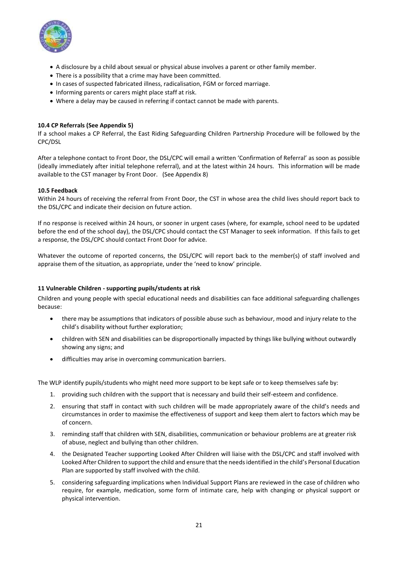

- A disclosure by a child about sexual or physical abuse involves a parent or other family member.
- There is a possibility that a crime may have been committed.
- In cases of suspected fabricated illness, radicalisation, FGM or forced marriage.
- Informing parents or carers might place staff at risk.
- Where a delay may be caused in referring if contact cannot be made with parents.

### **10.4 CP Referrals (See Appendix 5)**

If a school makes a CP Referral, the East Riding Safeguarding Children Partnership Procedure will be followed by the CPC/DSL

After a telephone contact to Front Door, the DSL/CPC will email a written 'Confirmation of Referral' as soon as possible (ideally immediately after initial telephone referral), and at the latest within 24 hours. This information will be made available to the CST manager by Front Door. (See Appendix 8)

### **10.5 Feedback**

Within 24 hours of receiving the referral from Front Door, the CST in whose area the child lives should report back to the DSL/CPC and indicate their decision on future action.

If no response is received within 24 hours, or sooner in urgent cases (where, for example, school need to be updated before the end of the school day), the DSL/CPC should contact the CST Manager to seek information. If this fails to get a response, the DSL/CPC should contact Front Door for advice.

Whatever the outcome of reported concerns, the DSL/CPC will report back to the member(s) of staff involved and appraise them of the situation, as appropriate, under the 'need to know' principle.

### **11 Vulnerable Children - supporting pupils/students at risk**

Children and young people with special educational needs and disabilities can face additional safeguarding challenges because:

- there may be assumptions that indicators of possible abuse such as behaviour, mood and injury relate to the child's disability without further exploration;
- children with SEN and disabilities can be disproportionally impacted by things like bullying without outwardly showing any signs; and
- difficulties may arise in overcoming communication barriers.

The WLP identify pupils/students who might need more support to be kept safe or to keep themselves safe by:

- 1. providing such children with the support that is necessary and build their self-esteem and confidence.
- 2. ensuring that staff in contact with such children will be made appropriately aware of the child's needs and circumstances in order to maximise the effectiveness of support and keep them alert to factors which may be of concern.
- 3. reminding staff that children with SEN, disabilities, communication or behaviour problems are at greater risk of abuse, neglect and bullying than other children.
- 4. the Designated Teacher supporting Looked After Children will liaise with the DSL/CPC and staff involved with Looked After Children to support the child and ensure that the needs identified in the child's Personal Education Plan are supported by staff involved with the child.
- 5. considering safeguarding implications when Individual Support Plans are reviewed in the case of children who require, for example, medication, some form of intimate care, help with changing or physical support or physical intervention.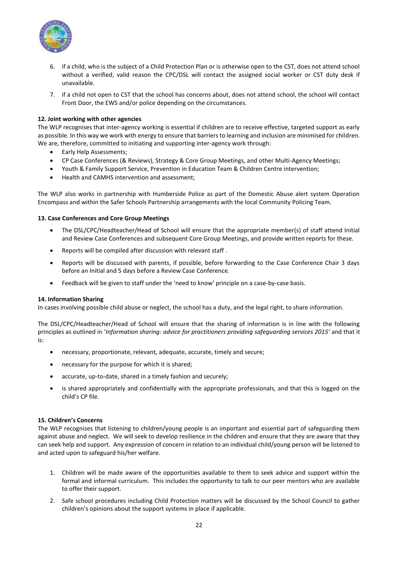

- 6. if a child, who is the subject of a Child Protection Plan or is otherwise open to the CST, does not attend school without a verified, valid reason the CPC/DSL will contact the assigned social worker or CST duty desk if unavailable.
- 7. if a child not open to CST that the school has concerns about, does not attend school, the school will contact Front Door, the EWS and/or police depending on the circumstances.

### **12. Joint working with other agencies**

The WLP recognises that inter-agency working is essential if children are to receive effective, targeted support as early as possible. In this way we work with energy to ensure that barriers to learning and inclusion are minimised for children. We are, therefore, committed to initiating and supporting inter-agency work through:

- Early Help Assessments;
- CP Case Conferences (& Reviews), Strategy & Core Group Meetings, and other Multi-Agency Meetings;
- Youth & Family Support Service, Prevention in Education Team & Children Centre intervention;
- Health and CAMHS intervention and assessment;

The WLP also works in partnership with Humberside Police as part of the Domestic Abuse alert system Operation Encompass and within the Safer Schools Partnership arrangements with the local Community Policing Team.

### **13. Case Conferences and Core Group Meetings**

- The DSL/CPC/Headteacher/Head of School will ensure that the appropriate member(s) of staff attend Initial and Review Case Conferences and subsequent Core Group Meetings, and provide written reports for these.
- Reports will be compiled after discussion with relevant staff .
- Reports will be discussed with parents, if possible, before forwarding to the Case Conference Chair 3 days before an Initial and 5 days before a Review Case Conference.
- Feedback will be given to staff under the 'need to know' principle on a case-by-case basis.

### **14. Information Sharing**

In cases involving possible child abuse or neglect, the school has a duty, and the legal right, to share information.

The DSL/CPC/Headteacher/Head of School will ensure that the sharing of information is in line with the following principles as outlined in '*Information sharing: advice for practitioners providing safeguarding services 2015'* and that it is:

- necessary, proportionate, relevant, adequate, accurate, timely and secure;
- necessary for the purpose for which it is shared;
- accurate, up-to-date, shared in a timely fashion and securely;
- is shared appropriately and confidentially with the appropriate professionals, and that this is logged on the child's CP file.

#### **15. Children's Concerns**

The WLP recognises that listening to children/young people is an important and essential part of safeguarding them against abuse and neglect. We will seek to develop resilience in the children and ensure that they are aware that they can seek help and support. Any expression of concern in relation to an individual child/young person will be listened to and acted upon to safeguard his/her welfare.

- 1. Children will be made aware of the opportunities available to them to seek advice and support within the formal and informal curriculum. This includes the opportunity to talk to our peer mentors who are available to offer their support.
- 2. Safe school procedures including Child Protection matters will be discussed by the School Council to gather children's opinions about the support systems in place if applicable.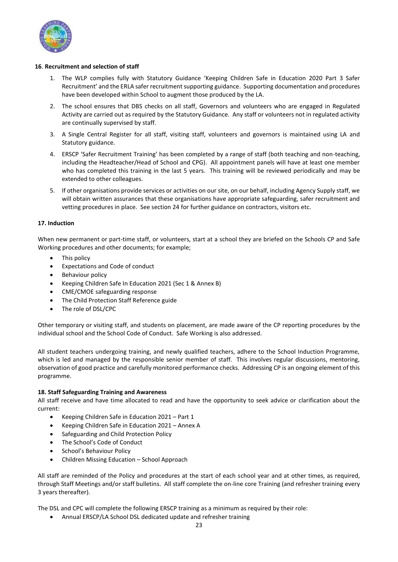

### **16**. **Recruitment and selection of staff**

- 1. The WLP complies fully with Statutory Guidance 'Keeping Children Safe in Education 2020 Part 3 Safer Recruitment' and the ERLA safer recruitment supporting guidance. Supporting documentation and procedures have been developed within School to augment those produced by the LA.
- 2. The school ensures that DBS checks on all staff, Governors and volunteers who are engaged in Regulated Activity are carried out as required by the Statutory Guidance. Any staff or volunteers not in regulated activity are continually supervised by staff.
- 3. A Single Central Register for all staff, visiting staff, volunteers and governors is maintained using LA and Statutory guidance.
- 4. ERSCP 'Safer Recruitment Training' has been completed by a range of staff (both teaching and non-teaching, including the Headteacher/Head of School and CPG). All appointment panels will have at least one member who has completed this training in the last 5 years. This training will be reviewed periodically and may be extended to other colleagues.
- 5. If other organisations provide services or activities on our site, on our behalf, including Agency Supply staff, we will obtain written assurances that these organisations have appropriate safeguarding, safer recruitment and vetting procedures in place. See section 24 for further guidance on contractors, visitors etc.

### **17. Induction**

When new permanent or part-time staff, or volunteers, start at a school they are briefed on the Schools CP and Safe Working procedures and other documents; for example;

- This policy
- Expectations and Code of conduct
- Behaviour policy
- Keeping Children Safe In Education 2021 (Sec 1 & Annex B)
- CME/CMOE safeguarding response
- The Child Protection Staff Reference guide
- The role of DSL/CPC

Other temporary or visiting staff, and students on placement, are made aware of the CP reporting procedures by the individual school and the School Code of Conduct. Safe Working is also addressed.

All student teachers undergoing training, and newly qualified teachers, adhere to the School Induction Programme, which is led and managed by the responsible senior member of staff. This involves regular discussions, mentoring, observation of good practice and carefully monitored performance checks. Addressing CP is an ongoing element of this programme.

### **18. Staff Safeguarding Training and Awareness**

All staff receive and have time allocated to read and have the opportunity to seek advice or clarification about the current:

- Keeping Children Safe in Education 2021 Part 1
- Keeping Children Safe in Education 2021 Annex A
- Safeguarding and Child Protection Policy
- The School's Code of Conduct
- School's Behaviour Policy
- Children Missing Education School Approach

All staff are reminded of the Policy and procedures at the start of each school year and at other times, as required, through Staff Meetings and/or staff bulletins. All staff complete the on-line core Training (and refresher training every 3 years thereafter).

The DSL and CPC will complete the following ERSCP training as a minimum as required by their role:

• Annual ERSCP/LA School DSL dedicated update and refresher training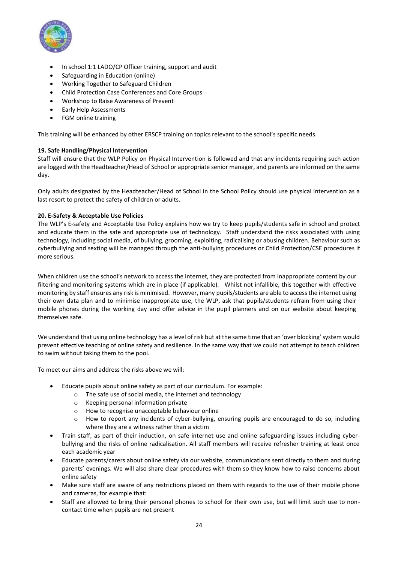

- In school 1:1 LADO/CP Officer training, support and audit
- Safeguarding in Education (online)
- Working Together to Safeguard Children
- Child Protection Case Conferences and Core Groups
- Workshop to Raise Awareness of Prevent
- Early Help Assessments
- FGM online training

This training will be enhanced by other ERSCP training on topics relevant to the school's specific needs.

### **19. Safe Handling/Physical Intervention**

Staff will ensure that the WLP Policy on Physical Intervention is followed and that any incidents requiring such action are logged with the Headteacher/Head of School or appropriate senior manager, and parents are informed on the same day.

Only adults designated by the Headteacher/Head of School in the School Policy should use physical intervention as a last resort to protect the safety of children or adults.

### **20. E-Safety & Acceptable Use Policies**

The WLP's E-safety and Acceptable Use Policy explains how we try to keep pupils/students safe in school and protect and educate them in the safe and appropriate use of technology. Staff understand the risks associated with using technology, including social media, of bullying, grooming, exploiting, radicalising or abusing children. Behaviour such as cyberbullying and sexting will be managed through the anti-bullying procedures or Child Protection/CSE procedures if more serious.

When children use the school's network to access the internet, they are protected from inappropriate content by our filtering and monitoring systems which are in place (if applicable). Whilst not infallible, this together with effective monitoring by staff ensures any risk is minimised. However, many pupils/students are able to access the internet using their own data plan and to minimise inappropriate use, the WLP, ask that pupils/students refrain from using their mobile phones during the working day and offer advice in the pupil planners and on our website about keeping themselves safe.

We understand that using online technology has a level of risk but at the same time that an 'over blocking' system would prevent effective teaching of online safety and resilience. In the same way that we could not attempt to teach children to swim without taking them to the pool.

To meet our aims and address the risks above we will:

- Educate pupils about online safety as part of our curriculum. For example:
	- o The safe use of social media, the internet and technology
	- o Keeping personal information private
	- o How to recognise unacceptable behaviour online
	- o How to report any incidents of cyber-bullying, ensuring pupils are encouraged to do so, including where they are a witness rather than a victim
- Train staff, as part of their induction, on safe internet use and online safeguarding issues including cyberbullying and the risks of online radicalisation. All staff members will receive refresher training at least once each academic year
- Educate parents/carers about online safety via our website, communications sent directly to them and during parents' evenings. We will also share clear procedures with them so they know how to raise concerns about online safety
- Make sure staff are aware of any restrictions placed on them with regards to the use of their mobile phone and cameras, for example that:
- Staff are allowed to bring their personal phones to school for their own use, but will limit such use to noncontact time when pupils are not present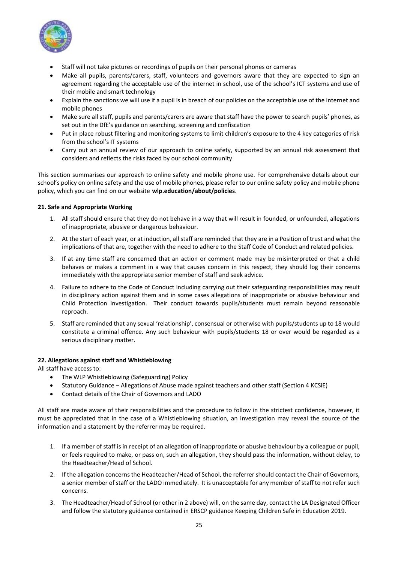

- Staff will not take pictures or recordings of pupils on their personal phones or cameras
- Make all pupils, parents/carers, staff, volunteers and governors aware that they are expected to sign an agreement regarding the acceptable use of the internet in school, use of the school's ICT systems and use of their mobile and smart technology
- Explain the sanctions we will use if a pupil is in breach of our policies on the acceptable use of the internet and mobile phones
- Make sure all staff, pupils and parents/carers are aware that staff have the power to search pupils' phones, as set out in the DfE's guidance on searching, screening and confiscation
- Put in place robust filtering and monitoring systems to limit children's exposure to the 4 key categories of risk from the school's IT systems
- Carry out an annual review of our approach to online safety, supported by an annual risk assessment that considers and reflects the risks faced by our school community

This section summarises our approach to online safety and mobile phone use. For comprehensive details about our school's policy on online safety and the use of mobile phones, please refer to our online safety policy and mobile phone policy, which you can find on our website **wlp.education/about/policies**.

### **21. Safe and Appropriate Working**

- 1. All staff should ensure that they do not behave in a way that will result in founded, or unfounded, allegations of inappropriate, abusive or dangerous behaviour.
- 2. At the start of each year, or at induction, all staff are reminded that they are in a Position of trust and what the implications of that are, together with the need to adhere to the Staff Code of Conduct and related policies.
- 3. If at any time staff are concerned that an action or comment made may be misinterpreted or that a child behaves or makes a comment in a way that causes concern in this respect, they should log their concerns immediately with the appropriate senior member of staff and seek advice.
- 4. Failure to adhere to the Code of Conduct including carrying out their safeguarding responsibilities may result in disciplinary action against them and in some cases allegations of inappropriate or abusive behaviour and Child Protection investigation. Their conduct towards pupils/students must remain beyond reasonable reproach.
- 5. Staff are reminded that any sexual 'relationship', consensual or otherwise with pupils/students up to 18 would constitute a criminal offence. Any such behaviour with pupils/students 18 or over would be regarded as a serious disciplinary matter.

### **22. Allegations against staff and Whistleblowing**

All staff have access to:

- The WLP Whistleblowing (Safeguarding) Policy
- Statutory Guidance Allegations of Abuse made against teachers and other staff (Section 4 KCSiE)
- Contact details of the Chair of Governors and LADO

All staff are made aware of their responsibilities and the procedure to follow in the strictest confidence, however, it must be appreciated that in the case of a Whistleblowing situation, an investigation may reveal the source of the information and a statement by the referrer may be required.

- 1. If a member of staff is in receipt of an allegation of inappropriate or abusive behaviour by a colleague or pupil, or feels required to make, or pass on, such an allegation, they should pass the information, without delay, to the Headteacher/Head of School.
- 2. If the allegation concerns the Headteacher/Head of School, the referrer should contact the Chair of Governors, a senior member of staff or the LADO immediately. It is unacceptable for any member of staff to not refer such concerns.
- 3. The Headteacher/Head of School (or other in 2 above) will, on the same day, contact the LA Designated Officer and follow the statutory guidance contained in ERSCP guidance Keeping Children Safe in Education 2019.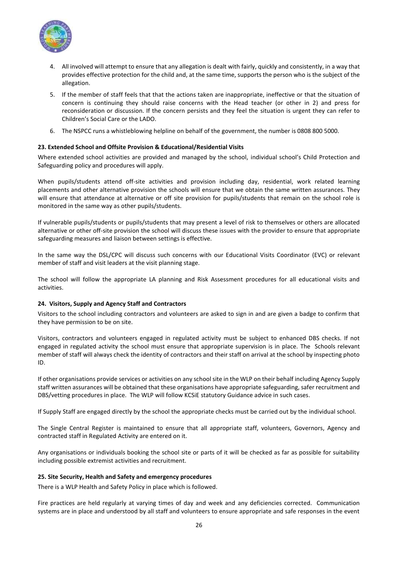

- 4. All involved will attempt to ensure that any allegation is dealt with fairly, quickly and consistently, in a way that provides effective protection for the child and, at the same time, supports the person who is the subject of the allegation.
- 5. If the member of staff feels that that the actions taken are inappropriate, ineffective or that the situation of concern is continuing they should raise concerns with the Head teacher (or other in 2) and press for reconsideration or discussion. If the concern persists and they feel the situation is urgent they can refer to Children's Social Care or the LADO.
- 6. The NSPCC runs a whistleblowing helpline on behalf of the government, the number is 0808 800 5000.

### **23. Extended School and Offsite Provision & Educational/Residential Visits**

Where extended school activities are provided and managed by the school, individual school's Child Protection and Safeguarding policy and procedures will apply.

When pupils/students attend off-site activities and provision including day, residential, work related learning placements and other alternative provision the schools will ensure that we obtain the same written assurances. They will ensure that attendance at alternative or off site provision for pupils/students that remain on the school role is monitored in the same way as other pupils/students.

If vulnerable pupils/students or pupils/students that may present a level of risk to themselves or others are allocated alternative or other off-site provision the school will discuss these issues with the provider to ensure that appropriate safeguarding measures and liaison between settings is effective.

In the same way the DSL/CPC will discuss such concerns with our Educational Visits Coordinator (EVC) or relevant member of staff and visit leaders at the visit planning stage.

The school will follow the appropriate LA planning and Risk Assessment procedures for all educational visits and activities.

### **24. Visitors, Supply and Agency Staff and Contractors**

Visitors to the school including contractors and volunteers are asked to sign in and are given a badge to confirm that they have permission to be on site.

Visitors, contractors and volunteers engaged in regulated activity must be subject to enhanced DBS checks. If not engaged in regulated activity the school must ensure that appropriate supervision is in place. The Schools relevant member of staff will always check the identity of contractors and their staff on arrival at the school by inspecting photo ID.

If other organisations provide services or activities on any school site in the WLP on their behalf including Agency Supply staff written assurances will be obtained that these organisations have appropriate safeguarding, safer recruitment and DBS/vetting procedures in place. The WLP will follow KCSiE statutory Guidance advice in such cases.

If Supply Staff are engaged directly by the school the appropriate checks must be carried out by the individual school.

The Single Central Register is maintained to ensure that all appropriate staff, volunteers, Governors, Agency and contracted staff in Regulated Activity are entered on it.

Any organisations or individuals booking the school site or parts of it will be checked as far as possible for suitability including possible extremist activities and recruitment.

### **25. Site Security, Health and Safety and emergency procedures**

There is a WLP Health and Safety Policy in place which is followed.

Fire practices are held regularly at varying times of day and week and any deficiencies corrected. Communication systems are in place and understood by all staff and volunteers to ensure appropriate and safe responses in the event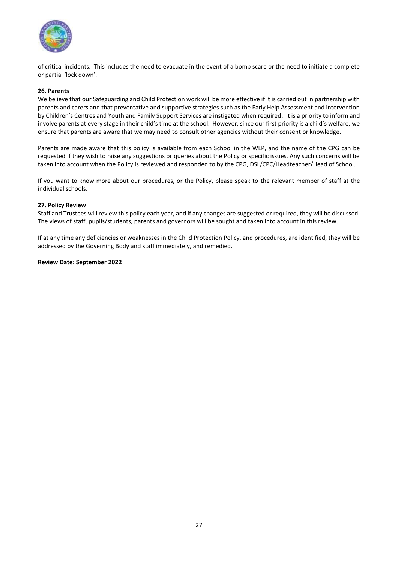

of critical incidents. This includes the need to evacuate in the event of a bomb scare or the need to initiate a complete or partial 'lock down'.

### **26. Parents**

We believe that our Safeguarding and Child Protection work will be more effective if it is carried out in partnership with parents and carers and that preventative and supportive strategies such as the Early Help Assessment and intervention by Children's Centres and Youth and Family Support Services are instigated when required. It is a priority to inform and involve parents at every stage in their child's time at the school. However, since our first priority is a child's welfare, we ensure that parents are aware that we may need to consult other agencies without their consent or knowledge.

Parents are made aware that this policy is available from each School in the WLP, and the name of the CPG can be requested if they wish to raise any suggestions or queries about the Policy or specific issues. Any such concerns will be taken into account when the Policy is reviewed and responded to by the CPG, DSL/CPC/Headteacher/Head of School.

If you want to know more about our procedures, or the Policy, please speak to the relevant member of staff at the individual schools.

#### **27. Policy Review**

Staff and Trustees will review this policy each year, and if any changes are suggested or required, they will be discussed. The views of staff, pupils/students, parents and governors will be sought and taken into account in this review.

If at any time any deficiencies or weaknesses in the Child Protection Policy, and procedures, are identified, they will be addressed by the Governing Body and staff immediately, and remedied.

#### **Review Date: September 2022**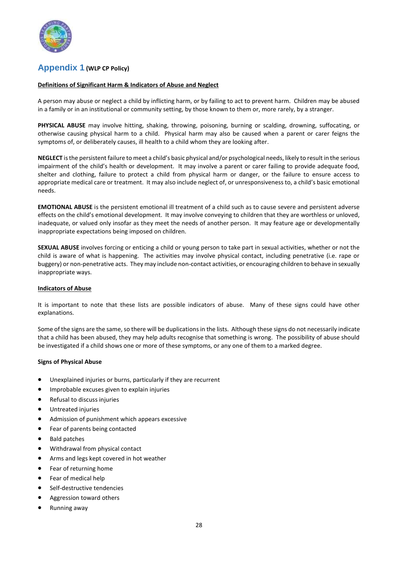

### **Appendix 1 (WLP CP Policy)**

### **Definitions of Significant Harm & Indicators of Abuse and Neglect**

A person may abuse or neglect a child by inflicting harm, or by failing to act to prevent harm. Children may be abused in a family or in an institutional or community setting, by those known to them or, more rarely, by a stranger.

**PHYSICAL ABUSE** may involve hitting, shaking, throwing, poisoning, burning or scalding, drowning, suffocating, or otherwise causing physical harm to a child. Physical harm may also be caused when a parent or carer feigns the symptoms of, or deliberately causes, ill health to a child whom they are looking after.

**NEGLECT** is the persistent failure to meet a child's basic physical and/or psychological needs, likely to result in the serious impairment of the child's health or development. It may involve a parent or carer failing to provide adequate food, shelter and clothing, failure to protect a child from physical harm or danger, or the failure to ensure access to appropriate medical care or treatment. It may also include neglect of, or unresponsiveness to, a child's basic emotional needs.

**EMOTIONAL ABUSE** is the persistent emotional ill treatment of a child such as to cause severe and persistent adverse effects on the child's emotional development. It may involve conveying to children that they are worthless or unloved, inadequate, or valued only insofar as they meet the needs of another person. It may feature age or developmentally inappropriate expectations being imposed on children.

**SEXUAL ABUSE** involves forcing or enticing a child or young person to take part in sexual activities, whether or not the child is aware of what is happening. The activities may involve physical contact, including penetrative (i.e. rape or buggery) or non-penetrative acts. They may include non-contact activities, or encouraging children to behave in sexually inappropriate ways.

### **Indicators of Abuse**

It is important to note that these lists are possible indicators of abuse. Many of these signs could have other explanations.

Some of the signs are the same, so there will be duplications in the lists. Although these signs do not necessarily indicate that a child has been abused, they may help adults recognise that something is wrong. The possibility of abuse should be investigated if a child shows one or more of these symptoms, or any one of them to a marked degree.

### **Signs of Physical Abuse**

- Unexplained injuries or burns, particularly if they are recurrent
- Improbable excuses given to explain injuries
- Refusal to discuss injuries
- Untreated injuries
- Admission of punishment which appears excessive
- Fear of parents being contacted
- Bald patches
- Withdrawal from physical contact
- Arms and legs kept covered in hot weather
- Fear of returning home
- Fear of medical help
- Self-destructive tendencies
- Aggression toward others
- Running away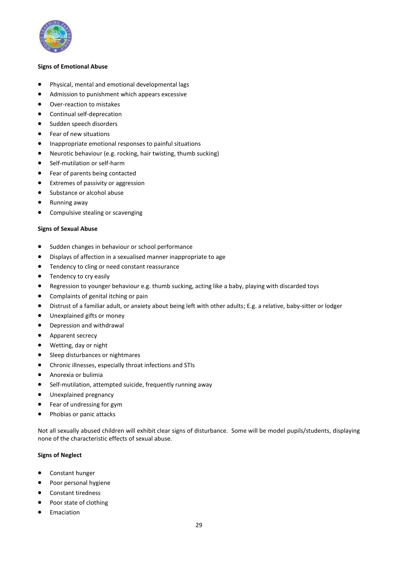

### **Signs of Emotional Abuse**

- Physical, mental and emotional developmental lags
- Admission to punishment which appears excessive
- Over-reaction to mistakes
- Continual self-deprecation
- Sudden speech disorders
- Fear of new situations
- Inappropriate emotional responses to painful situations
- Neurotic behaviour (e.g. rocking, hair twisting, thumb sucking)
- Self-mutilation or self-harm
- Fear of parents being contacted
- Extremes of passivity or aggression
- Substance or alcohol abuse
- Running away
- Compulsive stealing or scavenging

### **Signs of Sexual Abuse**

- Sudden changes in behaviour or school performance
- Displays of affection in a sexualised manner inappropriate to age
- Tendency to cling or need constant reassurance
- Tendency to cry easily
- Regression to younger behaviour e.g. thumb sucking, acting like a baby, playing with discarded toys
- Complaints of genital itching or pain
- Distrust of a familiar adult, or anxiety about being left with other adults; E.g. a relative, baby-sitter or lodger
- Unexplained gifts or money
- Depression and withdrawal
- Apparent secrecy
- Wetting, day or night
- Sleep disturbances or nightmares
- Chronic illnesses, especially throat infections and STIs
- Anorexia or bulimia
- Self-mutilation, attempted suicide, frequently running away
- Unexplained pregnancy
- Fear of undressing for gym
- Phobias or panic attacks

Not all sexually abused children will exhibit clear signs of disturbance. Some will be model pupils/students, displaying none of the characteristic effects of sexual abuse.

### **Signs of Neglect**

- Constant hunger
- Poor personal hygiene
- Constant tiredness
- Poor state of clothing
- **Emaciation**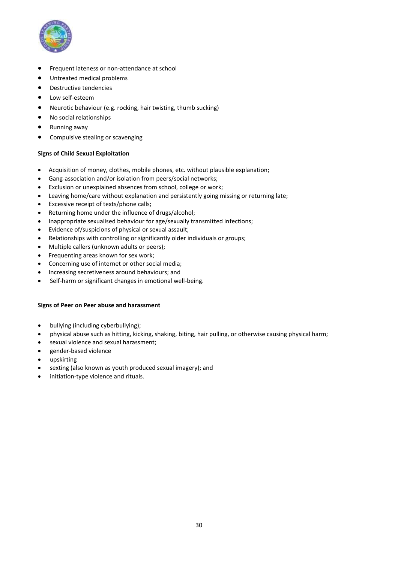

- Frequent lateness or non-attendance at school
- Untreated medical problems
- Destructive tendencies
- Low self-esteem
- Neurotic behaviour (e.g. rocking, hair twisting, thumb sucking)
- No social relationships
- Running away
- Compulsive stealing or scavenging

### **Signs of Child Sexual Exploitation**

- Acquisition of money, clothes, mobile phones, etc. without plausible explanation;
- Gang-association and/or isolation from peers/social networks;
- Exclusion or unexplained absences from school, college or work;
- Leaving home/care without explanation and persistently going missing or returning late;
- Excessive receipt of texts/phone calls;
- Returning home under the influence of drugs/alcohol;
- Inappropriate sexualised behaviour for age/sexually transmitted infections;
- Evidence of/suspicions of physical or sexual assault;
- Relationships with controlling or significantly older individuals or groups;
- Multiple callers (unknown adults or peers);
- Frequenting areas known for sex work;
- Concerning use of internet or other social media;
- Increasing secretiveness around behaviours; and
- Self-harm or significant changes in emotional well-being.

### **Signs of Peer on Peer abuse and harassment**

- bullying (including cyberbullying);
- physical abuse such as hitting, kicking, shaking, biting, hair pulling, or otherwise causing physical harm;
- sexual violence and sexual harassment;
- gender-based violence
- upskirting
- sexting (also known as youth produced sexual imagery); and
- initiation-type violence and rituals.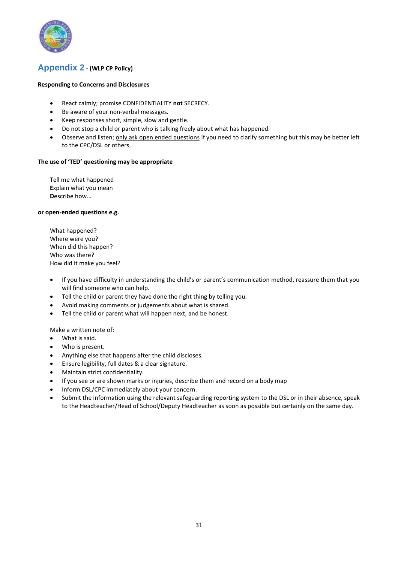

### **Appendix 2 - (WLP CP Policy)**

### **Responding to Concerns and Disclosures**

- React calmly; promise CONFIDENTIALITY **not** SECRECY.
- Be aware of your non-verbal messages.
- Keep responses short, simple, slow and gentle.
- Do not stop a child or parent who is talking freely about what has happened.
- Observe and listen; only ask open ended questions if you need to clarify something but this may be better left to the CPC/DSL or others.

### **The use of 'TED' questioning may be appropriate**

**T**ell me what happened **E**xplain what you mean **D**escribe how…

### **or open-ended questions e.g.**

What happened? Where were you? When did this happen? Who was there? How did it make you feel?

- If you have difficulty in understanding the child's or parent's communication method, reassure them that you will find someone who can help.
- Tell the child or parent they have done the right thing by telling you.
- Avoid making comments or judgements about what is shared.
- Tell the child or parent what will happen next, and be honest.

Make a written note of:

- What is said.
- Who is present.
- Anything else that happens after the child discloses.
- Ensure legibility, full dates & a clear signature.
- Maintain strict confidentiality.
- If you see or are shown marks or injuries, describe them and record on a body map
- Inform DSL/CPC immediately about your concern.
- Submit the information using the relevant safeguarding reporting system to the DSL or in their absence, speak to the Headteacher/Head of School/Deputy Headteacher as soon as possible but certainly on the same day.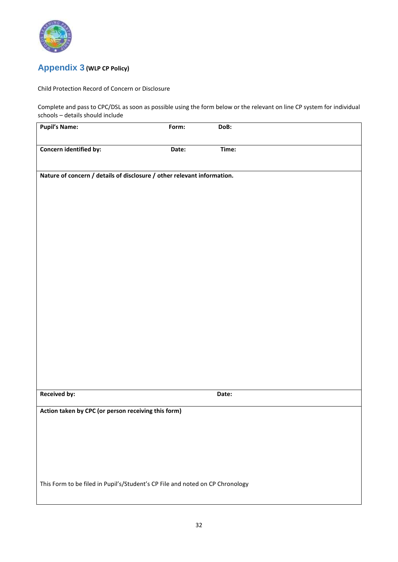

### **Appendix 3 (WLP CP Policy)**

Child Protection Record of Concern or Disclosure

Complete and pass to CPC/DSL as soon as possible using the form below or the relevant on line CP system for individual schools – details should include

| <b>Pupil's Name:</b>                                                          | Form:                                                                   | DoB:  |  |  |  |
|-------------------------------------------------------------------------------|-------------------------------------------------------------------------|-------|--|--|--|
| Concern identified by:                                                        | Date:                                                                   | Time: |  |  |  |
|                                                                               | Nature of concern / details of disclosure / other relevant information. |       |  |  |  |
|                                                                               |                                                                         |       |  |  |  |
|                                                                               |                                                                         |       |  |  |  |
|                                                                               |                                                                         |       |  |  |  |
|                                                                               |                                                                         |       |  |  |  |
|                                                                               |                                                                         |       |  |  |  |
|                                                                               |                                                                         |       |  |  |  |
|                                                                               |                                                                         |       |  |  |  |
|                                                                               |                                                                         |       |  |  |  |
|                                                                               |                                                                         |       |  |  |  |
| <b>Received by:</b>                                                           |                                                                         | Date: |  |  |  |
| Action taken by CPC (or person receiving this form)                           |                                                                         |       |  |  |  |
|                                                                               |                                                                         |       |  |  |  |
|                                                                               |                                                                         |       |  |  |  |
|                                                                               |                                                                         |       |  |  |  |
| This Form to be filed in Pupil's/Student's CP File and noted on CP Chronology |                                                                         |       |  |  |  |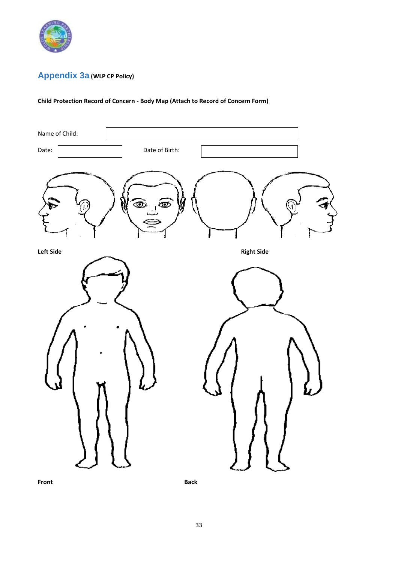

### **Appendix 3a (WLP CP Policy)**

### **Child Protection Record of Concern - Body Map (Attach to Record of Concern Form)**



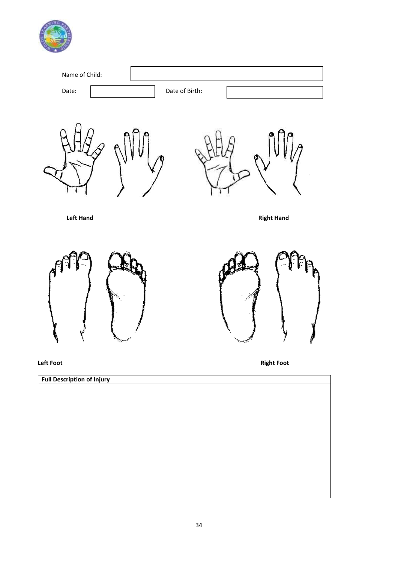

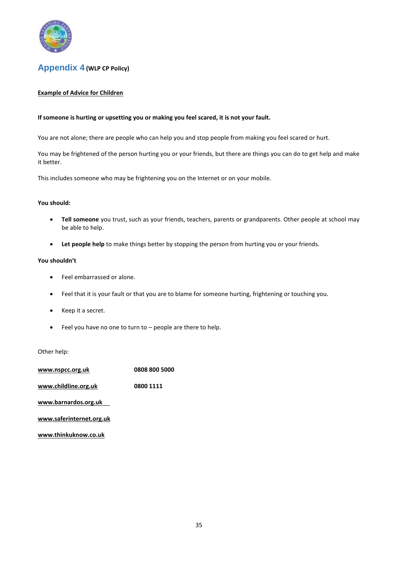

### **Appendix 4 (WLP CP Policy)**

### **Example of Advice for Children**

#### **If someone is hurting or upsetting you or making you feel scared, it is not your fault.**

You are not alone; there are people who can help you and stop people from making you feel scared or hurt.

You may be frightened of the person hurting you or your friends, but there are things you can do to get help and make it better.

This includes someone who may be frightening you on the Internet or on your mobile.

### **You should:**

- **Tell someone** you trust, such as your friends, teachers, parents or grandparents. Other people at school may be able to help.
- **Let people help** to make things better by stopping the person from hurting you or your friends.

#### **You shouldn't**

- Feel embarrassed or alone.
- Feel that it is your fault or that you are to blame for someone hurting, frightening or touching you.
- Keep it a secret.
- Feel you have no one to turn to people are there to help.

#### Other help:

| www.nspcc.org.uk         | 0808 800 5000 |
|--------------------------|---------------|
| www.childline.org.uk     | 0800 1111     |
| www.barnardos.org.uk     |               |
| www.saferinternet.org.uk |               |
| www.thinkuknow.co.uk     |               |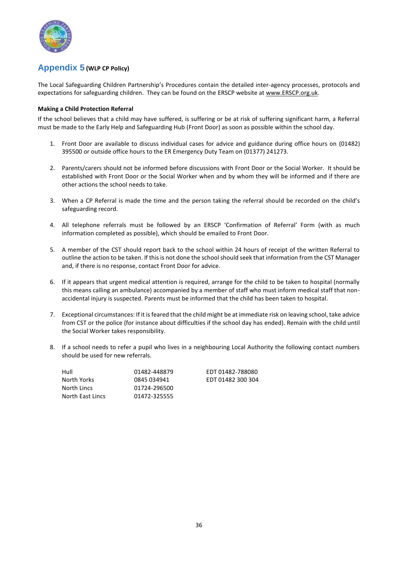

### **Appendix 5 (WLP CP Policy)**

The Local Safeguarding Children Partnership's Procedures contain the detailed inter-agency processes, protocols and expectations for safeguarding children. They can be found on the ERSCP website at [www.ERSCP.org.uk.](http://www.erscb.org.uk/)

### **Making a Child Protection Referral**

If the school believes that a child may have suffered, is suffering or be at risk of suffering significant harm, a Referral must be made to the Early Help and Safeguarding Hub (Front Door) as soon as possible within the school day.

- 1. Front Door are available to discuss individual cases for advice and guidance during office hours on (01482) 395500 or outside office hours to the ER Emergency Duty Team on (01377) 241273.
- 2. Parents/carers should not be informed before discussions with Front Door or the Social Worker. It should be established with Front Door or the Social Worker when and by whom they will be informed and if there are other actions the school needs to take.
- 3. When a CP Referral is made the time and the person taking the referral should be recorded on the child's safeguarding record.
- 4. All telephone referrals must be followed by an ERSCP 'Confirmation of Referral' Form (with as much information completed as possible), which should be emailed to Front Door.
- 5. A member of the CST should report back to the school within 24 hours of receipt of the written Referral to outline the action to be taken. If this is not done the school should seek that information from the CST Manager and, if there is no response, contact Front Door for advice.
- 6. If it appears that urgent medical attention is required, arrange for the child to be taken to hospital (normally this means calling an ambulance) accompanied by a member of staff who must inform medical staff that nonaccidental injury is suspected. Parents must be informed that the child has been taken to hospital.
- 7. Exceptional circumstances: If it is feared that the child might be at immediate risk on leaving school, take advice from CST or the police (for instance about difficulties if the school day has ended). Remain with the child until the Social Worker takes responsibility.
- 8. If a school needs to refer a pupil who lives in a neighbouring Local Authority the following contact numbers should be used for new referrals.

| Hull             | 01482-448879 | EDT 01482-788080  |
|------------------|--------------|-------------------|
| North Yorks      | 0845 034941  | EDT 01482 300 304 |
| North Lincs      | 01724-296500 |                   |
| North East Lincs | 01472-325555 |                   |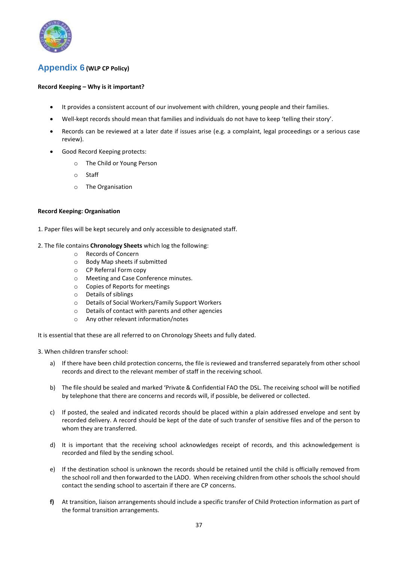

### **Appendix 6 (WLP CP Policy)**

### **Record Keeping – Why is it important?**

- It provides a consistent account of our involvement with children, young people and their families.
- Well-kept records should mean that families and individuals do not have to keep 'telling their story'.
- Records can be reviewed at a later date if issues arise (e.g. a complaint, legal proceedings or a serious case review).
- Good Record Keeping protects:
	- o The Child or Young Person
	- o Staff
	- o The Organisation

### **Record Keeping: Organisation**

- 1. Paper files will be kept securely and only accessible to designated staff.
- 2. The file contains **Chronology Sheets** which log the following:
	- o Records of Concern
	- o Body Map sheets if submitted
	- o CP Referral Form copy
	- o Meeting and Case Conference minutes.
	- o Copies of Reports for meetings
	- o Details of siblings
	- o Details of Social Workers/Family Support Workers
	- o Details of contact with parents and other agencies
	- o Any other relevant information/notes

It is essential that these are all referred to on Chronology Sheets and fully dated.

3. When children transfer school:

- a) If there have been child protection concerns, the file is reviewed and transferred separately from other school records and direct to the relevant member of staff in the receiving school.
- b) The file should be sealed and marked 'Private & Confidential FAO the DSL. The receiving school will be notified by telephone that there are concerns and records will, if possible, be delivered or collected.
- c) If posted, the sealed and indicated records should be placed within a plain addressed envelope and sent by recorded delivery. A record should be kept of the date of such transfer of sensitive files and of the person to whom they are transferred.
- d) It is important that the receiving school acknowledges receipt of records, and this acknowledgement is recorded and filed by the sending school.
- e) If the destination school is unknown the records should be retained until the child is officially removed from the school roll and then forwarded to the LADO. When receiving children from other schools the school should contact the sending school to ascertain if there are CP concerns.
- **f)** At transition, liaison arrangements should include a specific transfer of Child Protection information as part of the formal transition arrangements.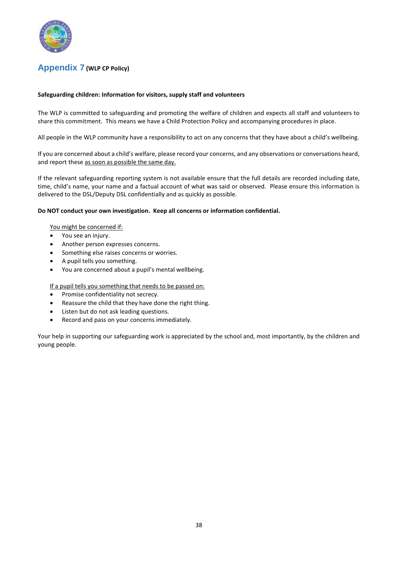

### **Appendix 7 (WLP CP Policy)**

### **Safeguarding children: Information for visitors, supply staff and volunteers**

The WLP is committed to safeguarding and promoting the welfare of children and expects all staff and volunteers to share this commitment. This means we have a Child Protection Policy and accompanying procedures in place.

All people in the WLP community have a responsibility to act on any concerns that they have about a child's wellbeing.

If you are concerned about a child's welfare, please record your concerns, and any observations or conversations heard, and report these as soon as possible the same day.

If the relevant safeguarding reporting system is not available ensure that the full details are recorded including date, time, child's name, your name and a factual account of what was said or observed. Please ensure this information is delivered to the DSL/Deputy DSL confidentially and as quickly as possible.

### **Do NOT conduct your own investigation. Keep all concerns or information confidential.**

You might be concerned if:

- You see an injury.
- Another person expresses concerns.
- Something else raises concerns or worries.
- A pupil tells you something.
- You are concerned about a pupil's mental wellbeing.

If a pupil tells you something that needs to be passed on:

- Promise confidentiality not secrecy.
- Reassure the child that they have done the right thing.
- Listen but do not ask leading questions.
- Record and pass on your concerns immediately.

Your help in supporting our safeguarding work is appreciated by the school and, most importantly, by the children and young people.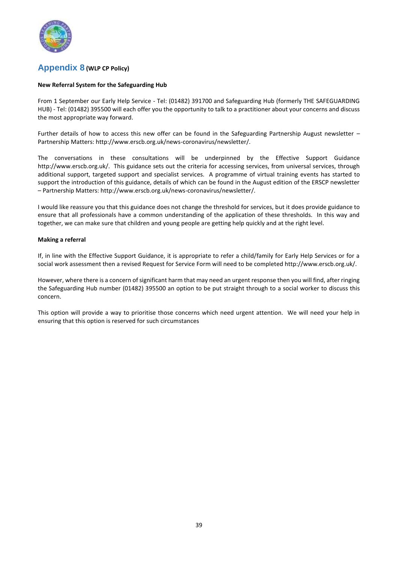

### **Appendix 8 (WLP CP Policy)**

### **New Referral System for the Safeguarding Hub**

From 1 September our Early Help Service - Tel: (01482) 391700 and Safeguarding Hub (formerly THE SAFEGUARDING HUB) - Tel: (01482) 395500 will each offer you the opportunity to talk to a practitioner about your concerns and discuss the most appropriate way forward.

Further details of how to access this new offer can be found in the Safeguarding Partnership August newsletter – Partnership Matters: http://www.erscb.org.uk/news-coronavirus/newsletter/.

The conversations in these consultations will be underpinned by the Effective Support Guidance http://www.erscb.org.uk/. This guidance sets out the criteria for accessing services, from universal services, through additional support, targeted support and specialist services. A programme of virtual training events has started to support the introduction of this guidance, details of which can be found in the August edition of the ERSCP newsletter – Partnership Matters: http://www.erscb.org.uk/news-coronavirus/newsletter/.

I would like reassure you that this guidance does not change the threshold for services, but it does provide guidance to ensure that all professionals have a common understanding of the application of these thresholds. In this way and together, we can make sure that children and young people are getting help quickly and at the right level.

### **Making a referral**

If, in line with the Effective Support Guidance, it is appropriate to refer a child/family for Early Help Services or for a social work assessment then a revised Request for Service Form will need to be completed http://www.erscb.org.uk/.

However, where there is a concern of significant harm that may need an urgent response then you will find, after ringing the Safeguarding Hub number (01482) 395500 an option to be put straight through to a social worker to discuss this concern.

This option will provide a way to prioritise those concerns which need urgent attention. We will need your help in ensuring that this option is reserved for such circumstances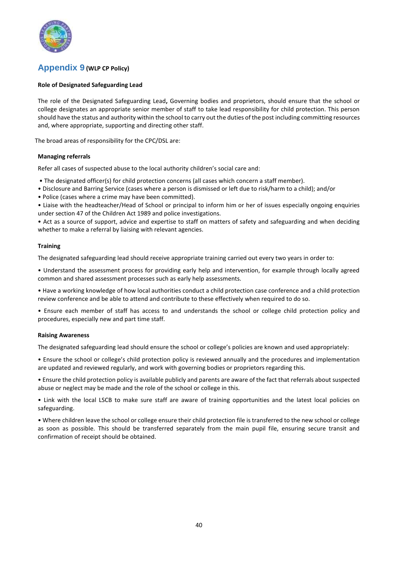

### **Appendix 9 (WLP CP Policy)**

### **Role of Designated Safeguarding Lead**

The role of the Designated Safeguarding Lead**,** Governing bodies and proprietors, should ensure that the school or college designates an appropriate senior member of staff to take lead responsibility for child protection. This person should have the status and authority within the school to carry out the duties of the post including committing resources and, where appropriate, supporting and directing other staff.

The broad areas of responsibility for the CPC/DSL are:

### **Managing referrals**

Refer all cases of suspected abuse to the local authority children's social care and:

- The designated officer(s) for child protection concerns (all cases which concern a staff member).
- Disclosure and Barring Service (cases where a person is dismissed or left due to risk/harm to a child); and/or
- Police (cases where a crime may have been committed).
- Liaise with the headteacher/Head of School or principal to inform him or her of issues especially ongoing enquiries under section 47 of the Children Act 1989 and police investigations.

• Act as a source of support, advice and expertise to staff on matters of safety and safeguarding and when deciding whether to make a referral by liaising with relevant agencies.

### **Training**

The designated safeguarding lead should receive appropriate training carried out every two years in order to:

• Understand the assessment process for providing early help and intervention, for example through locally agreed common and shared assessment processes such as early help assessments.

• Have a working knowledge of how local authorities conduct a child protection case conference and a child protection review conference and be able to attend and contribute to these effectively when required to do so.

• Ensure each member of staff has access to and understands the school or college child protection policy and procedures, especially new and part time staff.

### **Raising Awareness**

The designated safeguarding lead should ensure the school or college's policies are known and used appropriately:

• Ensure the school or college's child protection policy is reviewed annually and the procedures and implementation are updated and reviewed regularly, and work with governing bodies or proprietors regarding this.

• Ensure the child protection policy is available publicly and parents are aware of the fact that referrals about suspected abuse or neglect may be made and the role of the school or college in this.

• Link with the local LSCB to make sure staff are aware of training opportunities and the latest local policies on safeguarding.

• Where children leave the school or college ensure their child protection file is transferred to the new school or college as soon as possible. This should be transferred separately from the main pupil file, ensuring secure transit and confirmation of receipt should be obtained.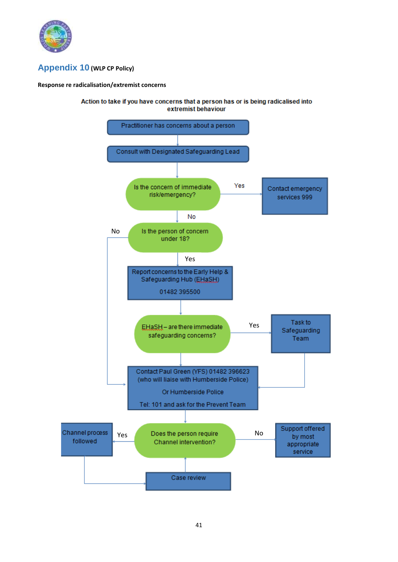

### **Appendix 10 (WLP CP Policy)**

### **Response re radicalisation/extremist concerns**

Action to take if you have concerns that a person has or is being radicalised into extremist behaviour

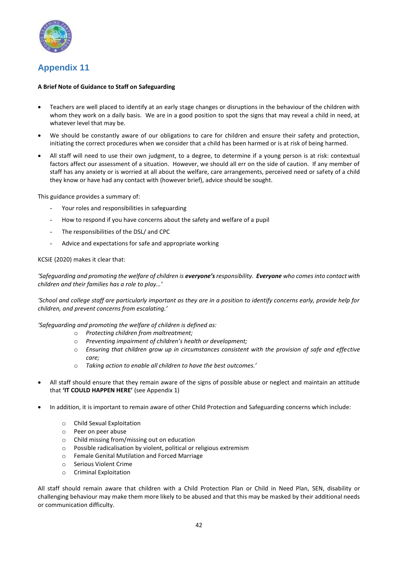

### **Appendix 11**

### **A Brief Note of Guidance to Staff on Safeguarding**

- Teachers are well placed to identify at an early stage changes or disruptions in the behaviour of the children with whom they work on a daily basis. We are in a good position to spot the signs that may reveal a child in need, at whatever level that may be.
- We should be constantly aware of our obligations to care for children and ensure their safety and protection, initiating the correct procedures when we consider that a child has been harmed or is at risk of being harmed.
- All staff will need to use their own judgment, to a degree, to determine if a young person is at risk: contextual factors affect our assessment of a situation. However, we should all err on the side of caution. If any member of staff has any anxiety or is worried at all about the welfare, care arrangements, perceived need or safety of a child they know or have had any contact with (however brief), advice should be sought.

This guidance provides a summary of:

- Your roles and responsibilities in safeguarding
- How to respond if you have concerns about the safety and welfare of a pupil
- The responsibilities of the DSL/ and CPC
- Advice and expectations for safe and appropriate working

### KCSiE (2020) makes it clear that:

*'Safeguarding and promoting the welfare of children is everyone's responsibility. Everyone who comes into contact with children and their families has a role to play…'*

*'School and college staff are particularly important as they are in a position to identify concerns early, provide help for children, and prevent concerns from escalating.'*

*'Safeguarding and promoting the welfare of children is defined as:*

- o *Protecting children from maltreatment;*
- o *Preventing impairment of children's health or development;*
- o *Ensuring that children grow up in circumstances consistent with the provision of safe and effective care;*
- o *Taking action to enable all children to have the best outcomes.'*
- All staff should ensure that they remain aware of the signs of possible abuse or neglect and maintain an attitude that **'IT COULD HAPPEN HERE'** (see Appendix 1)
- In addition, it is important to remain aware of other Child Protection and Safeguarding concerns which include:
	- o Child Sexual Exploitation
	- o Peer on peer abuse
	- o Child missing from/missing out on education
	- o Possible radicalisation by violent, political or religious extremism
	- o Female Genital Mutilation and Forced Marriage
	- o Serious Violent Crime
	- o Criminal Exploitation

All staff should remain aware that children with a Child Protection Plan or Child in Need Plan, SEN, disability or challenging behaviour may make them more likely to be abused and that this may be masked by their additional needs or communication difficulty.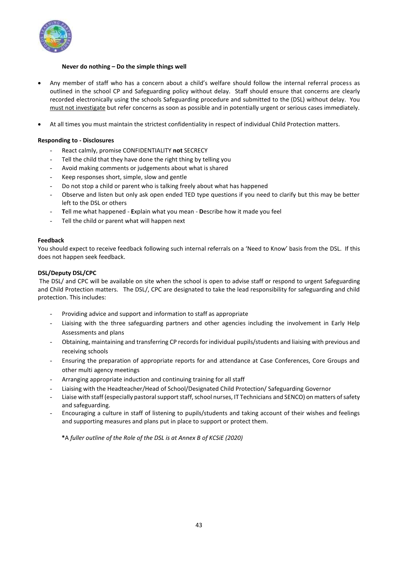

### **Never do nothing – Do the simple things well**

- Any member of staff who has a concern about a child's welfare should follow the internal referral process as outlined in the school CP and Safeguarding policy without delay. Staff should ensure that concerns are clearly recorded electronically using the schools Safeguarding procedure and submitted to the (DSL) without delay. You must not investigate but refer concerns as soon as possible and in potentially urgent or serious cases immediately.
- At all times you must maintain the strictest confidentiality in respect of individual Child Protection matters.

### **Responding to - Disclosures**

- React calmly, promise CONFIDENTIALITY **not** SECRECY
- Tell the child that they have done the right thing by telling you
- Avoid making comments or judgements about what is shared
- Keep responses short, simple, slow and gentle
- Do not stop a child or parent who is talking freely about what has happened
- Observe and listen but only ask open ended TED type questions if you need to clarify but this may be better left to the DSL or others
- **T**ell me what happened **E**xplain what you mean **D**escribe how it made you feel
- Tell the child or parent what will happen next

### **Feedback**

You should expect to receive feedback following such internal referrals on a 'Need to Know' basis from the DSL. If this does not happen seek feedback.

### **DSL/Deputy DSL/CPC**

The DSL/ and CPC will be available on site when the school is open to advise staff or respond to urgent Safeguarding and Child Protection matters. The DSL/, CPC are designated to take the lead responsibility for safeguarding and child protection. This includes:

- Providing advice and support and information to staff as appropriate
- Liaising with the three safeguarding partners and other agencies including the involvement in Early Help Assessments and plans
- Obtaining, maintaining and transferring CP records for individual pupils/students and liaising with previous and receiving schools
- Ensuring the preparation of appropriate reports for and attendance at Case Conferences, Core Groups and other multi agency meetings
- Arranging appropriate induction and continuing training for all staff
- Liaising with the Headteacher/Head of School/Designated Child Protection/ Safeguarding Governor
- Liaise with staff (especially pastoral support staff, school nurses, IT Technicians and SENCO) on matters of safety and safeguarding.
- Encouraging a culture in staff of listening to pupils/students and taking account of their wishes and feelings and supporting measures and plans put in place to support or protect them.

**\***A *fuller outline of the Role of the DSL is at Annex B of KCSiE (2020)*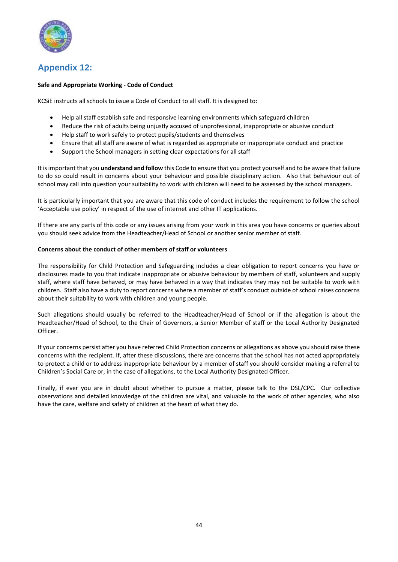

### **Appendix 12:**

### **Safe and Appropriate Working - Code of Conduct**

KCSiE instructs all schools to issue a Code of Conduct to all staff. It is designed to:

- Help all staff establish safe and responsive learning environments which safeguard children
- Reduce the risk of adults being unjustly accused of unprofessional, inappropriate or abusive conduct
- Help staff to work safely to protect pupils/students and themselves
- Ensure that all staff are aware of what is regarded as appropriate or inappropriate conduct and practice
- Support the School managers in setting clear expectations for all staff

It is important that you **understand and follow** this Code to ensure that you protect yourself and to be aware that failure to do so could result in concerns about your behaviour and possible disciplinary action. Also that behaviour out of school may call into question your suitability to work with children will need to be assessed by the school managers.

It is particularly important that you are aware that this code of conduct includes the requirement to follow the school 'Acceptable use policy' in respect of the use of internet and other IT applications.

If there are any parts of this code or any issues arising from your work in this area you have concerns or queries about you should seek advice from the Headteacher/Head of School or another senior member of staff.

### **Concerns about the conduct of other members of staff or volunteers**

The responsibility for Child Protection and Safeguarding includes a clear obligation to report concerns you have or disclosures made to you that indicate inappropriate or abusive behaviour by members of staff, volunteers and supply staff, where staff have behaved, or may have behaved in a way that indicates they may not be suitable to work with children. Staff also have a duty to report concerns where a member of staff's conduct outside of school raises concerns about their suitability to work with children and young people.

Such allegations should usually be referred to the Headteacher/Head of School or if the allegation is about the Headteacher/Head of School, to the Chair of Governors, a Senior Member of staff or the Local Authority Designated Officer.

If your concerns persist after you have referred Child Protection concerns or allegations as above you should raise these concerns with the recipient. If, after these discussions, there are concerns that the school has not acted appropriately to protect a child or to address inappropriate behaviour by a member of staff you should consider making a referral to Children's Social Care or, in the case of allegations, to the Local Authority Designated Officer.

Finally, if ever you are in doubt about whether to pursue a matter, please talk to the DSL/CPC. Our collective observations and detailed knowledge of the children are vital, and valuable to the work of other agencies, who also have the care, welfare and safety of children at the heart of what they do.